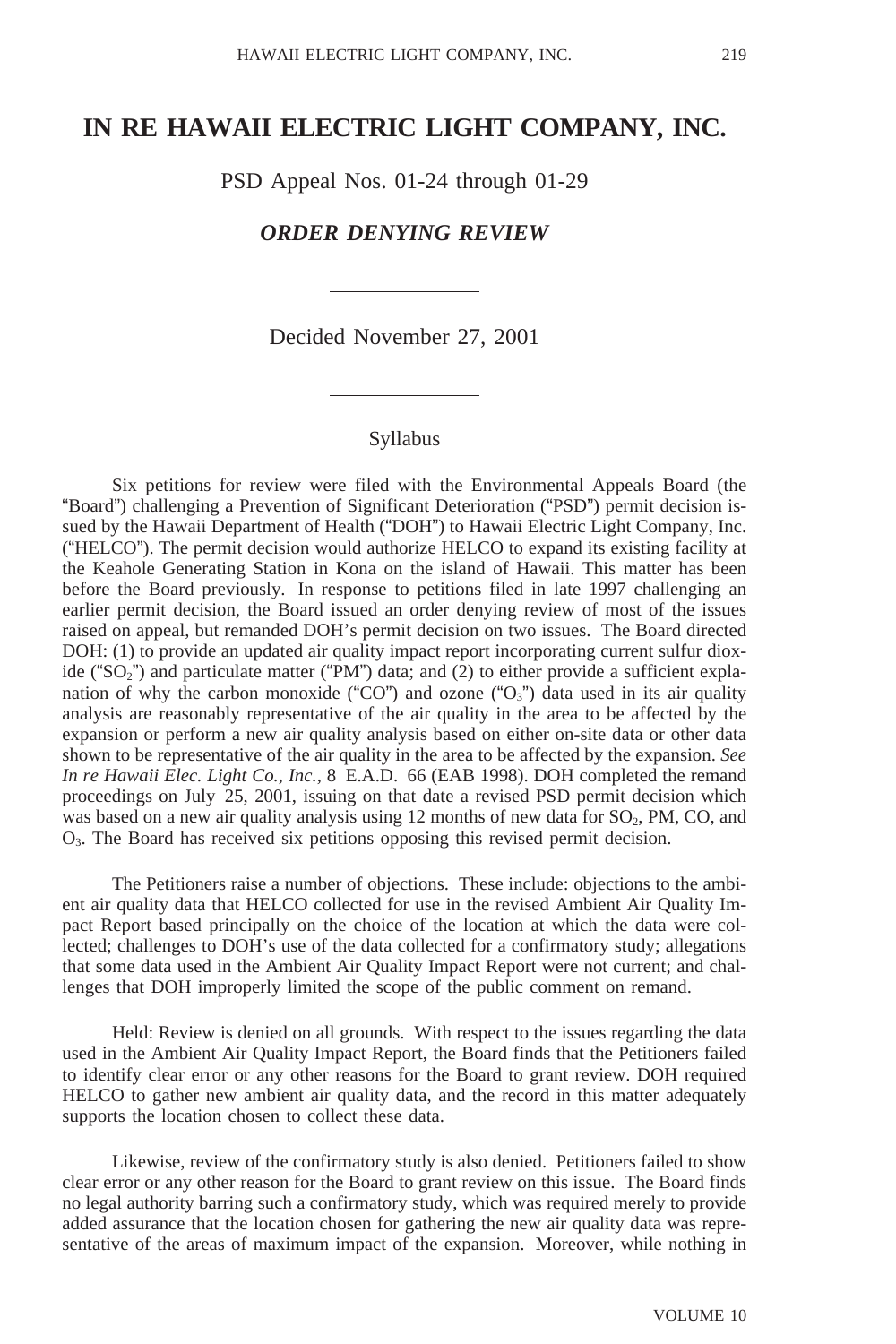# **IN RE HAWAII ELECTRIC LIGHT COMPANY, INC.**

PSD Appeal Nos. 01-24 through 01-29

# *ORDER DENYING REVIEW*

Decided November 27, 2001

### Syllabus

Six petitions for review were filed with the Environmental Appeals Board (the "Board") challenging a Prevention of Significant Deterioration ("PSD") permit decision issued by the Hawaii Department of Health ("DOH") to Hawaii Electric Light Company, Inc. ("HELCO"). The permit decision would authorize HELCO to expand its existing facility at the Keahole Generating Station in Kona on the island of Hawaii. This matter has been before the Board previously. In response to petitions filed in late 1997 challenging an earlier permit decision, the Board issued an order denying review of most of the issues raised on appeal, but remanded DOH's permit decision on two issues. The Board directed DOH: (1) to provide an updated air quality impact report incorporating current sulfur dioxide ("SO<sub>2</sub>") and particulate matter ("PM") data; and (2) to either provide a sufficient explanation of why the carbon monoxide ("CO") and ozone (" $O_3$ ") data used in its air quality analysis are reasonably representative of the air quality in the area to be affected by the expansion or perform a new air quality analysis based on either on-site data or other data shown to be representative of the air quality in the area to be affected by the expansion. *See In re Hawaii Elec. Light Co., Inc.*, 8 E.A.D. 66 (EAB 1998). DOH completed the remand proceedings on July 25, 2001, issuing on that date a revised PSD permit decision which was based on a new air quality analysis using  $12$  months of new data for  $SO_2$ , PM, CO, and O3. The Board has received six petitions opposing this revised permit decision.

The Petitioners raise a number of objections. These include: objections to the ambient air quality data that HELCO collected for use in the revised Ambient Air Quality Impact Report based principally on the choice of the location at which the data were collected; challenges to DOH's use of the data collected for a confirmatory study; allegations that some data used in the Ambient Air Quality Impact Report were not current; and challenges that DOH improperly limited the scope of the public comment on remand.

Held: Review is denied on all grounds. With respect to the issues regarding the data used in the Ambient Air Quality Impact Report, the Board finds that the Petitioners failed to identify clear error or any other reasons for the Board to grant review. DOH required HELCO to gather new ambient air quality data, and the record in this matter adequately supports the location chosen to collect these data.

Likewise, review of the confirmatory study is also denied. Petitioners failed to show clear error or any other reason for the Board to grant review on this issue. The Board finds no legal authority barring such a confirmatory study, which was required merely to provide added assurance that the location chosen for gathering the new air quality data was representative of the areas of maximum impact of the expansion. Moreover, while nothing in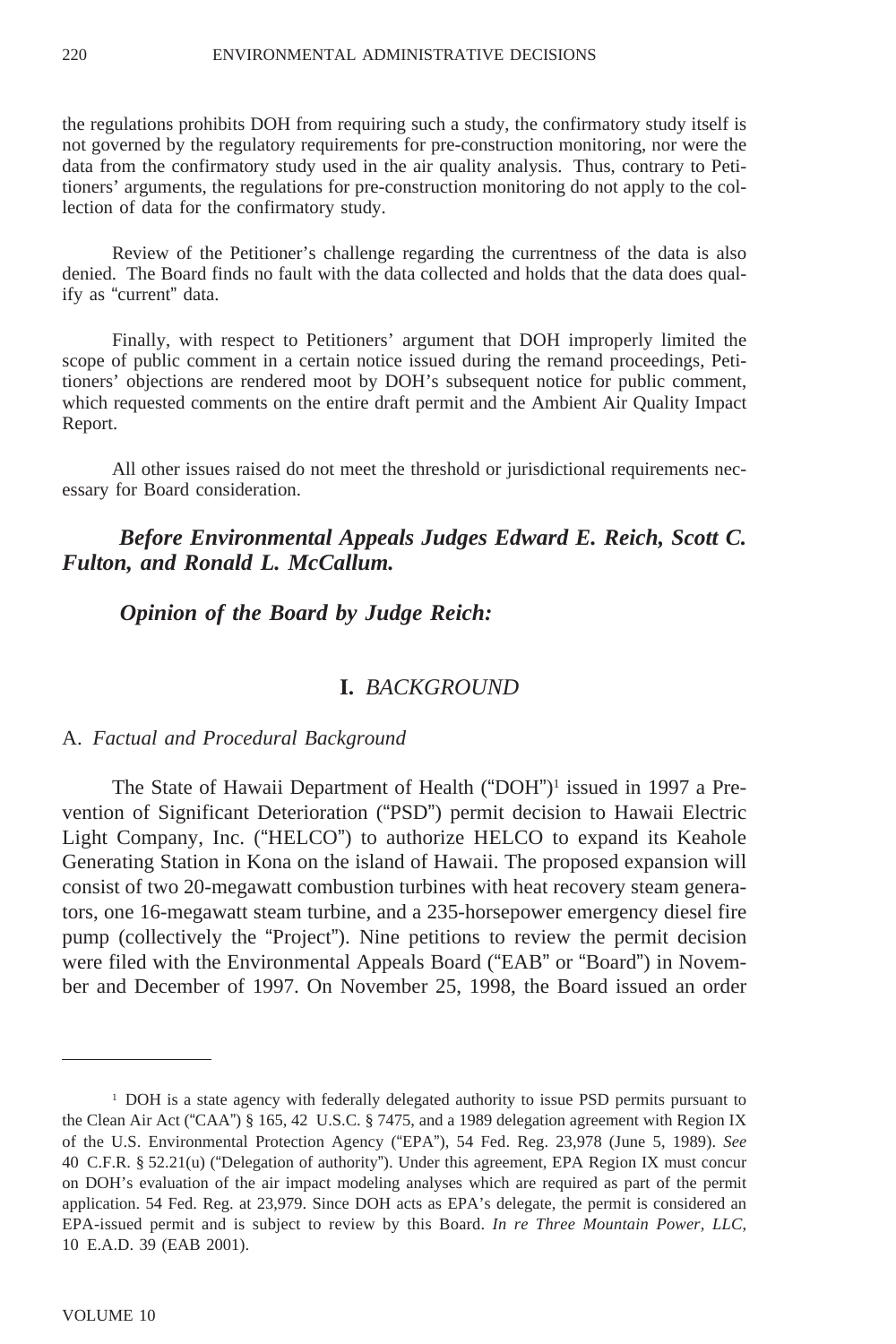the regulations prohibits DOH from requiring such a study, the confirmatory study itself is not governed by the regulatory requirements for pre-construction monitoring, nor were the data from the confirmatory study used in the air quality analysis. Thus, contrary to Petitioners' arguments, the regulations for pre-construction monitoring do not apply to the collection of data for the confirmatory study.

Review of the Petitioner's challenge regarding the currentness of the data is also denied. The Board finds no fault with the data collected and holds that the data does qualify as "current" data.

Finally, with respect to Petitioners' argument that DOH improperly limited the scope of public comment in a certain notice issued during the remand proceedings, Petitioners' objections are rendered moot by DOH's subsequent notice for public comment, which requested comments on the entire draft permit and the Ambient Air Quality Impact Report.

All other issues raised do not meet the threshold or jurisdictional requirements necessary for Board consideration.

# *Before Environmental Appeals Judges Edward E. Reich, Scott C. Fulton, and Ronald L. McCallum.*

 *Opinion of the Board by Judge Reich:*

### **I.** *BACKGROUND*

A. *Factual and Procedural Background*

The State of Hawaii Department of Health ("DOH")1 issued in 1997 a Prevention of Significant Deterioration ("PSD") permit decision to Hawaii Electric Light Company, Inc. ("HELCO") to authorize HELCO to expand its Keahole Generating Station in Kona on the island of Hawaii. The proposed expansion will consist of two 20-megawatt combustion turbines with heat recovery steam generators, one 16-megawatt steam turbine, and a 235-horsepower emergency diesel fire pump (collectively the "Project"). Nine petitions to review the permit decision were filed with the Environmental Appeals Board ("EAB" or "Board") in November and December of 1997. On November 25, 1998, the Board issued an order

<sup>1</sup> DOH is a state agency with federally delegated authority to issue PSD permits pursuant to the Clean Air Act ("CAA") § 165, 42 U.S.C. § 7475, and a 1989 delegation agreement with Region IX of the U.S. Environmental Protection Agency ("EPA"), 54 Fed. Reg. 23,978 (June 5, 1989). *See* 40 C.F.R. § 52.21(u) ("Delegation of authority"). Under this agreement, EPA Region IX must concur on DOH's evaluation of the air impact modeling analyses which are required as part of the permit application. 54 Fed. Reg. at 23,979. Since DOH acts as EPA's delegate, the permit is considered an EPA-issued permit and is subject to review by this Board. *In re Three Mountain Power, LLC*, 10 E.A.D. 39 (EAB 2001).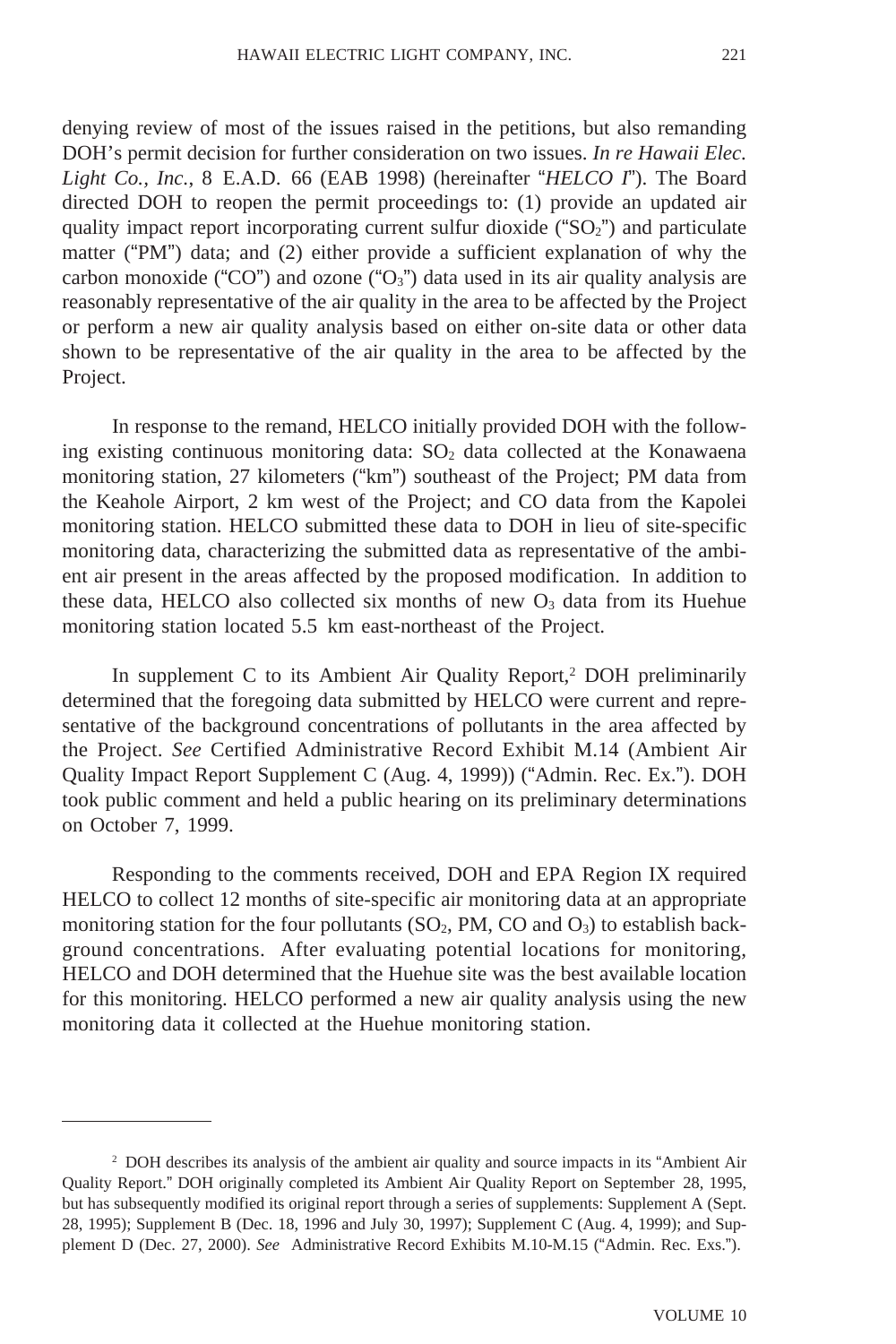denying review of most of the issues raised in the petitions, but also remanding DOH's permit decision for further consideration on two issues. *In re Hawaii Elec. Light Co., Inc.*, 8 E.A.D. 66 (EAB 1998) (hereinafter "*HELCO I*"). The Board directed DOH to reopen the permit proceedings to: (1) provide an updated air quality impact report incorporating current sulfur dioxide (" $SO<sub>2</sub>$ ") and particulate matter ("PM") data; and (2) either provide a sufficient explanation of why the carbon monoxide ("CO") and ozone ("O<sub>3</sub>") data used in its air quality analysis are reasonably representative of the air quality in the area to be affected by the Project or perform a new air quality analysis based on either on-site data or other data shown to be representative of the air quality in the area to be affected by the Project.

In response to the remand, HELCO initially provided DOH with the following existing continuous monitoring data:  $SO<sub>2</sub>$  data collected at the Konawaena monitoring station, 27 kilometers ("km") southeast of the Project; PM data from the Keahole Airport, 2 km west of the Project; and CO data from the Kapolei monitoring station. HELCO submitted these data to DOH in lieu of site-specific monitoring data, characterizing the submitted data as representative of the ambient air present in the areas affected by the proposed modification. In addition to these data, HELCO also collected six months of new  $O<sub>3</sub>$  data from its Huehue monitoring station located 5.5 km east-northeast of the Project.

In supplement C to its Ambient Air Quality Report,<sup>2</sup> DOH preliminarily determined that the foregoing data submitted by HELCO were current and representative of the background concentrations of pollutants in the area affected by the Project. *See* Certified Administrative Record Exhibit M.14 (Ambient Air Quality Impact Report Supplement C (Aug. 4, 1999)) ("Admin. Rec. Ex."). DOH took public comment and held a public hearing on its preliminary determinations on October 7, 1999.

Responding to the comments received, DOH and EPA Region IX required HELCO to collect 12 months of site-specific air monitoring data at an appropriate monitoring station for the four pollutants  $(SO_2, PM, CO \text{ and } O_3)$  to establish background concentrations. After evaluating potential locations for monitoring, HELCO and DOH determined that the Huehue site was the best available location for this monitoring. HELCO performed a new air quality analysis using the new monitoring data it collected at the Huehue monitoring station.

<sup>2</sup> DOH describes its analysis of the ambient air quality and source impacts in its "Ambient Air Quality Report." DOH originally completed its Ambient Air Quality Report on September 28, 1995, but has subsequently modified its original report through a series of supplements: Supplement A (Sept. 28, 1995); Supplement B (Dec. 18, 1996 and July 30, 1997); Supplement C (Aug. 4, 1999); and Supplement D (Dec. 27, 2000). *See* Administrative Record Exhibits M.10-M.15 ("Admin. Rec. Exs.").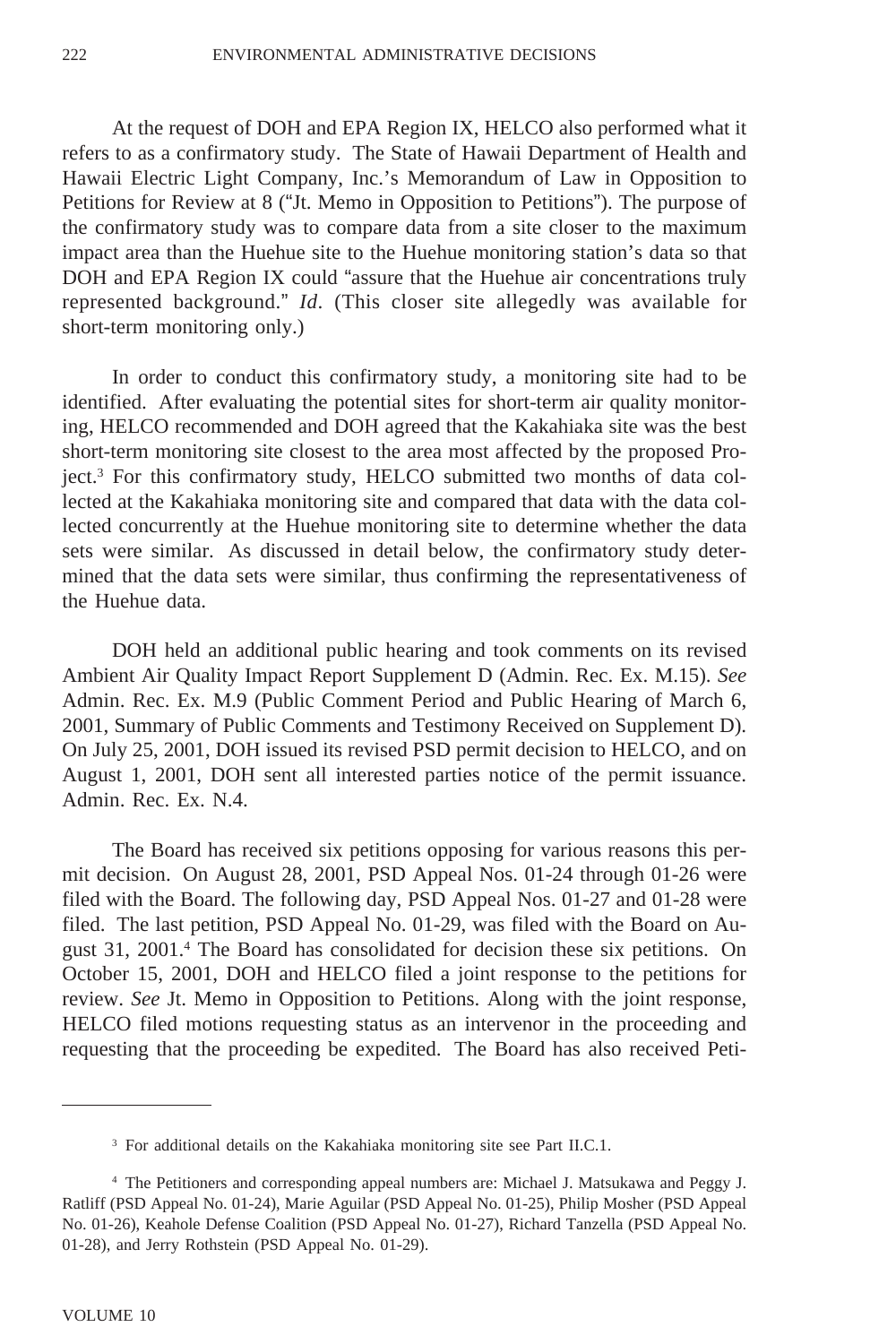At the request of DOH and EPA Region IX, HELCO also performed what it refers to as a confirmatory study. The State of Hawaii Department of Health and Hawaii Electric Light Company, Inc.'s Memorandum of Law in Opposition to Petitions for Review at 8 ("Jt. Memo in Opposition to Petitions"). The purpose of the confirmatory study was to compare data from a site closer to the maximum impact area than the Huehue site to the Huehue monitoring station's data so that DOH and EPA Region IX could "assure that the Huehue air concentrations truly represented background." *Id*. (This closer site allegedly was available for short-term monitoring only.)

In order to conduct this confirmatory study, a monitoring site had to be identified. After evaluating the potential sites for short-term air quality monitoring, HELCO recommended and DOH agreed that the Kakahiaka site was the best short-term monitoring site closest to the area most affected by the proposed Project.3 For this confirmatory study, HELCO submitted two months of data collected at the Kakahiaka monitoring site and compared that data with the data collected concurrently at the Huehue monitoring site to determine whether the data sets were similar. As discussed in detail below, the confirmatory study determined that the data sets were similar, thus confirming the representativeness of the Huehue data.

DOH held an additional public hearing and took comments on its revised Ambient Air Quality Impact Report Supplement D (Admin. Rec. Ex. M.15). *See* Admin. Rec. Ex. M.9 (Public Comment Period and Public Hearing of March 6, 2001, Summary of Public Comments and Testimony Received on Supplement D). On July 25, 2001, DOH issued its revised PSD permit decision to HELCO, and on August 1, 2001, DOH sent all interested parties notice of the permit issuance. Admin. Rec. Ex. N.4.

The Board has received six petitions opposing for various reasons this permit decision. On August 28, 2001, PSD Appeal Nos. 01-24 through 01-26 were filed with the Board. The following day, PSD Appeal Nos. 01-27 and 01-28 were filed. The last petition, PSD Appeal No. 01-29, was filed with the Board on August 31, 2001.4 The Board has consolidated for decision these six petitions. On October 15, 2001, DOH and HELCO filed a joint response to the petitions for review. *See* Jt. Memo in Opposition to Petitions. Along with the joint response, HELCO filed motions requesting status as an intervenor in the proceeding and requesting that the proceeding be expedited. The Board has also received Peti-

<sup>&</sup>lt;sup>3</sup> For additional details on the Kakahiaka monitoring site see Part II.C.1.

<sup>4</sup> The Petitioners and corresponding appeal numbers are: Michael J. Matsukawa and Peggy J. Ratliff (PSD Appeal No. 01-24), Marie Aguilar (PSD Appeal No. 01-25), Philip Mosher (PSD Appeal No. 01-26), Keahole Defense Coalition (PSD Appeal No. 01-27), Richard Tanzella (PSD Appeal No. 01-28), and Jerry Rothstein (PSD Appeal No. 01-29).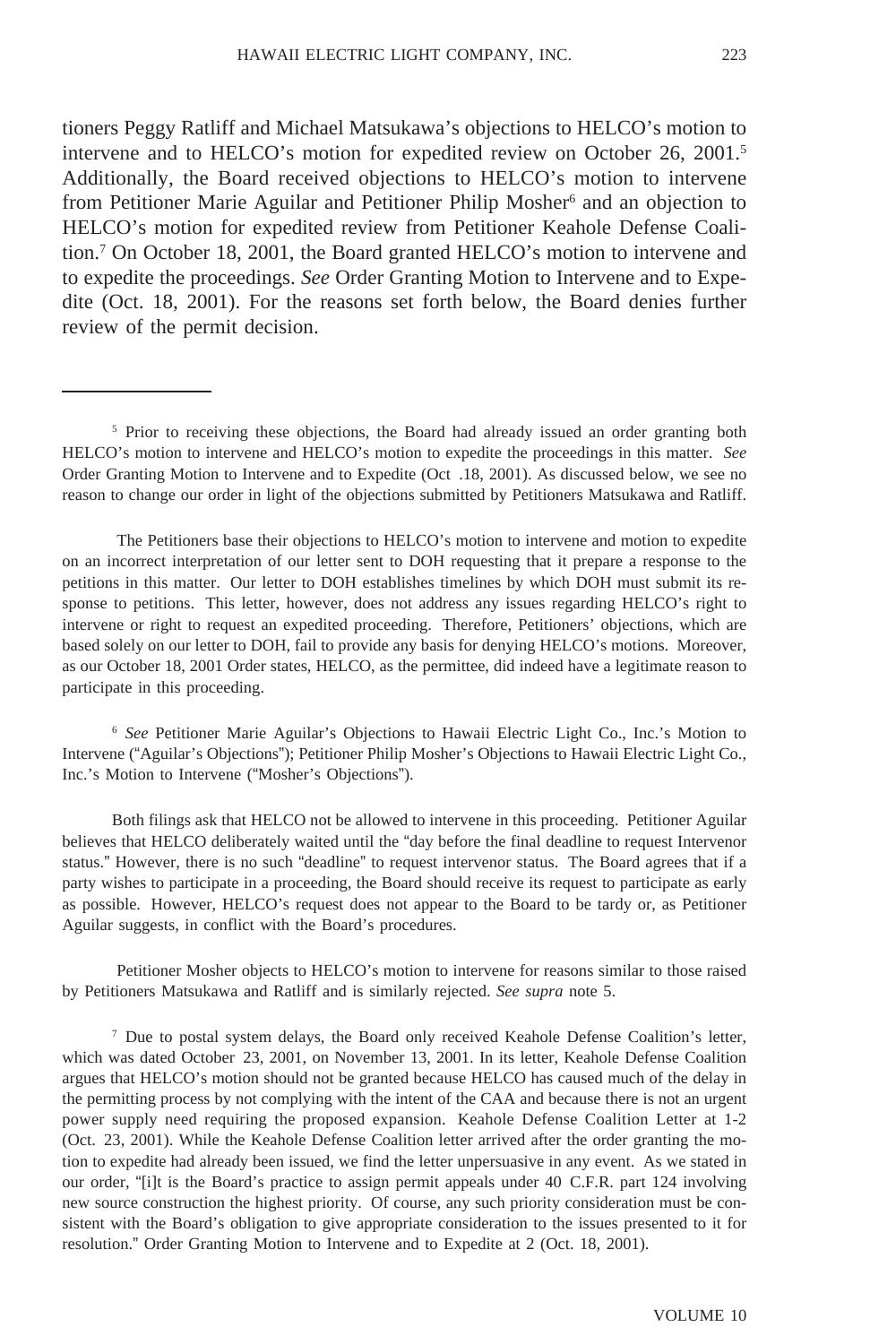tioners Peggy Ratliff and Michael Matsukawa's objections to HELCO's motion to intervene and to HELCO's motion for expedited review on October 26, 2001.<sup>5</sup> Additionally, the Board received objections to HELCO's motion to intervene from Petitioner Marie Aguilar and Petitioner Philip Mosher<sup>6</sup> and an objection to HELCO's motion for expedited review from Petitioner Keahole Defense Coalition.7 On October 18, 2001, the Board granted HELCO's motion to intervene and to expedite the proceedings. *See* Order Granting Motion to Intervene and to Expedite (Oct. 18, 2001). For the reasons set forth below, the Board denies further review of the permit decision.

 The Petitioners base their objections to HELCO's motion to intervene and motion to expedite on an incorrect interpretation of our letter sent to DOH requesting that it prepare a response to the petitions in this matter. Our letter to DOH establishes timelines by which DOH must submit its response to petitions. This letter, however, does not address any issues regarding HELCO's right to intervene or right to request an expedited proceeding. Therefore, Petitioners' objections, which are based solely on our letter to DOH, fail to provide any basis for denying HELCO's motions. Moreover, as our October 18, 2001 Order states, HELCO, as the permittee, did indeed have a legitimate reason to participate in this proceeding.

<sup>6</sup> *See* Petitioner Marie Aguilar's Objections to Hawaii Electric Light Co., Inc.'s Motion to Intervene ("Aguilar's Objections"); Petitioner Philip Mosher's Objections to Hawaii Electric Light Co., Inc.'s Motion to Intervene ("Mosher's Objections").

Both filings ask that HELCO not be allowed to intervene in this proceeding. Petitioner Aguilar believes that HELCO deliberately waited until the "day before the final deadline to request Intervenor status." However, there is no such "deadline" to request intervenor status. The Board agrees that if a party wishes to participate in a proceeding, the Board should receive its request to participate as early as possible. However, HELCO's request does not appear to the Board to be tardy or, as Petitioner Aguilar suggests, in conflict with the Board's procedures.

 Petitioner Mosher objects to HELCO's motion to intervene for reasons similar to those raised by Petitioners Matsukawa and Ratliff and is similarly rejected. *See supra* note 5.

<sup>7</sup> Due to postal system delays, the Board only received Keahole Defense Coalition's letter, which was dated October 23, 2001, on November 13, 2001. In its letter, Keahole Defense Coalition argues that HELCO's motion should not be granted because HELCO has caused much of the delay in the permitting process by not complying with the intent of the CAA and because there is not an urgent power supply need requiring the proposed expansion. Keahole Defense Coalition Letter at 1-2 (Oct. 23, 2001). While the Keahole Defense Coalition letter arrived after the order granting the motion to expedite had already been issued, we find the letter unpersuasive in any event. As we stated in our order, "[i]t is the Board's practice to assign permit appeals under 40 C.F.R. part 124 involving new source construction the highest priority. Of course, any such priority consideration must be consistent with the Board's obligation to give appropriate consideration to the issues presented to it for resolution." Order Granting Motion to Intervene and to Expedite at 2 (Oct. 18, 2001).

<sup>&</sup>lt;sup>5</sup> Prior to receiving these objections, the Board had already issued an order granting both HELCO's motion to intervene and HELCO's motion to expedite the proceedings in this matter. *See* Order Granting Motion to Intervene and to Expedite (Oct .18, 2001). As discussed below, we see no reason to change our order in light of the objections submitted by Petitioners Matsukawa and Ratliff.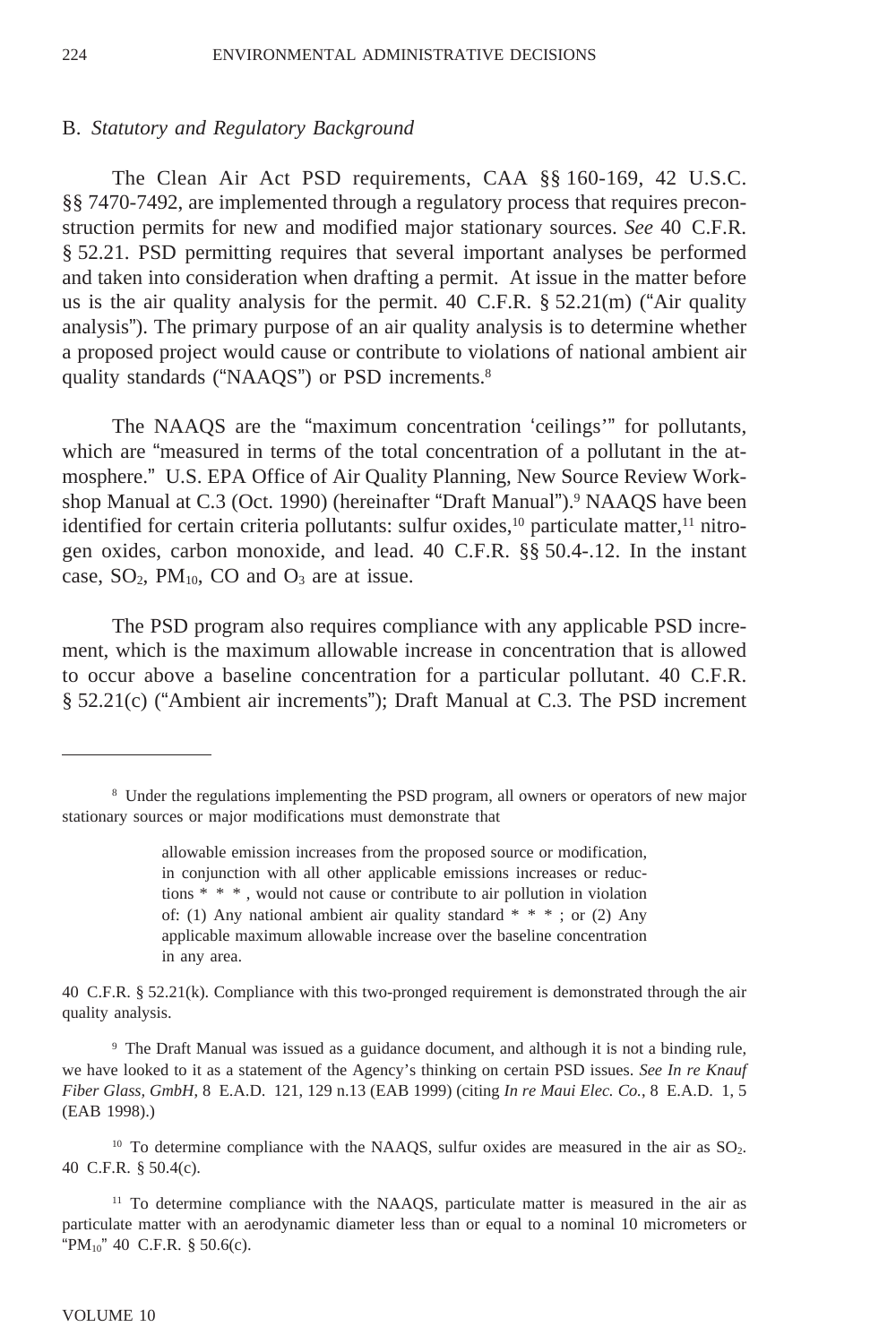#### B. *Statutory and Regulatory Background*

The Clean Air Act PSD requirements, CAA §§ 160-169, 42 U.S.C. §§ 7470-7492, are implemented through a regulatory process that requires preconstruction permits for new and modified major stationary sources. *See* 40 C.F.R. § 52.21. PSD permitting requires that several important analyses be performed and taken into consideration when drafting a permit. At issue in the matter before us is the air quality analysis for the permit. 40 C.F.R.  $\S 52.21(m)$  ("Air quality analysis"). The primary purpose of an air quality analysis is to determine whether a proposed project would cause or contribute to violations of national ambient air quality standards ("NAAQS") or PSD increments.<sup>8</sup>

The NAAQS are the "maximum concentration 'ceilings'" for pollutants, which are "measured in terms of the total concentration of a pollutant in the atmosphere." U.S. EPA Office of Air Quality Planning, New Source Review Workshop Manual at C.3 (Oct. 1990) (hereinafter "Draft Manual").<sup>9</sup> NAAQS have been identified for certain criteria pollutants: sulfur oxides, $^{10}$  particulate matter, $^{11}$  nitrogen oxides, carbon monoxide, and lead. 40 C.F.R. §§ 50.4-.12. In the instant case,  $SO_2$ ,  $PM_{10}$ ,  $CO$  and  $O_3$  are at issue.

The PSD program also requires compliance with any applicable PSD increment, which is the maximum allowable increase in concentration that is allowed to occur above a baseline concentration for a particular pollutant. 40 C.F.R. § 52.21(c) ("Ambient air increments"); Draft Manual at C.3. The PSD increment

40 C.F.R. § 52.21(k). Compliance with this two-pronged requirement is demonstrated through the air quality analysis.

<sup>9</sup> The Draft Manual was issued as a guidance document, and although it is not a binding rule, we have looked to it as a statement of the Agency's thinking on certain PSD issues. *See In re Knauf Fiber Glass, GmbH*, 8 E.A.D. 121, 129 n.13 (EAB 1999) (citing *In re Maui Elec. Co.*, 8 E.A.D. 1, 5 (EAB 1998).)

 $10$  To determine compliance with the NAAQS, sulfur oxides are measured in the air as  $SO<sub>2</sub>$ . 40 C.F.R. § 50.4(c).

<sup>11</sup> To determine compliance with the NAAQS, particulate matter is measured in the air as particulate matter with an aerodynamic diameter less than or equal to a nominal 10 micrometers or "PM $_{10}$ " 40 C.F.R. § 50.6(c).

<sup>8</sup> Under the regulations implementing the PSD program, all owners or operators of new major stationary sources or major modifications must demonstrate that

allowable emission increases from the proposed source or modification, in conjunction with all other applicable emissions increases or reductions \* \* \* , would not cause or contribute to air pollution in violation of: (1) Any national ambient air quality standard \* \* \* ; or (2) Any applicable maximum allowable increase over the baseline concentration in any area.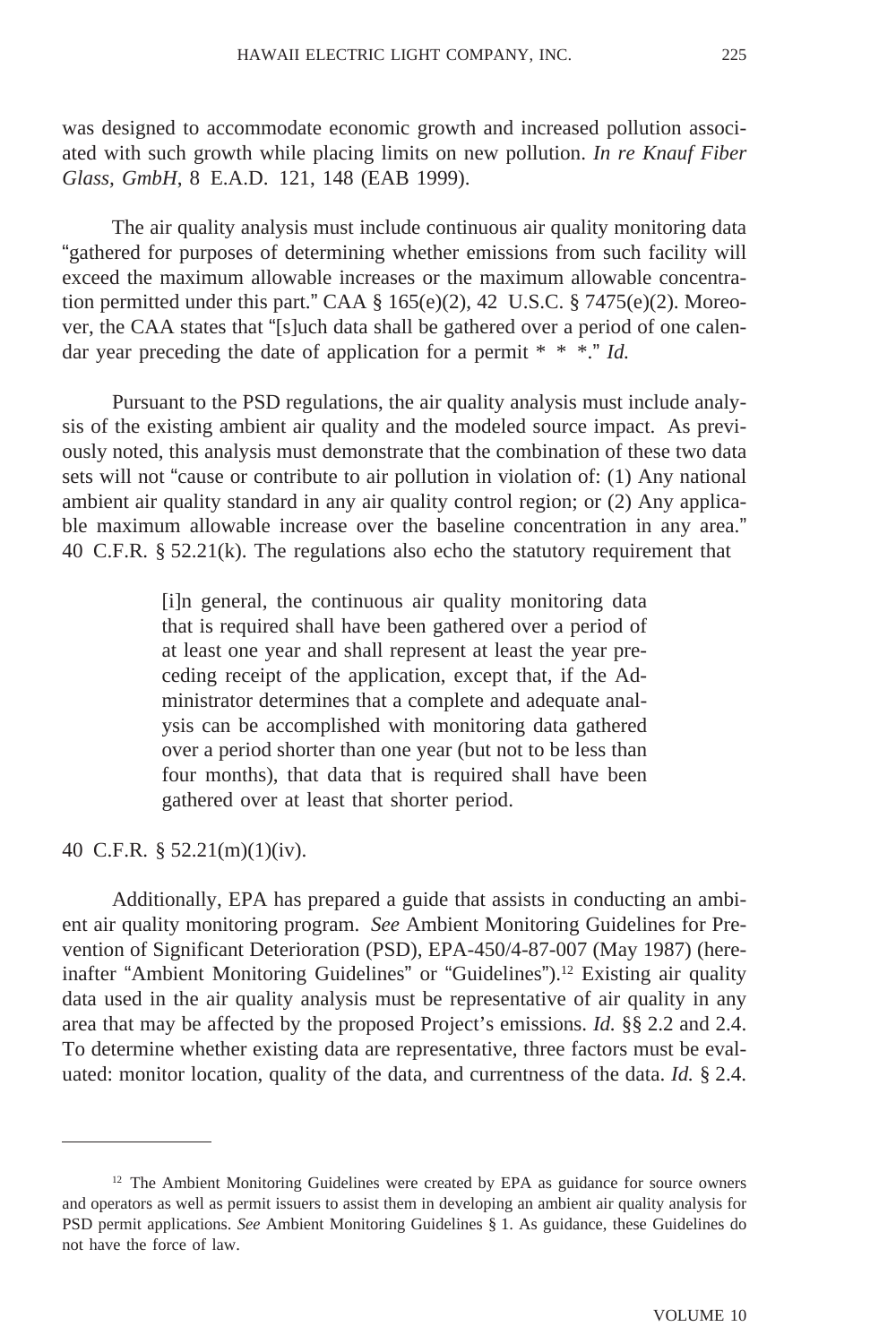was designed to accommodate economic growth and increased pollution associated with such growth while placing limits on new pollution. *In re Knauf Fiber Glass, GmbH*, 8 E.A.D. 121, 148 (EAB 1999).

The air quality analysis must include continuous air quality monitoring data "gathered for purposes of determining whether emissions from such facility will exceed the maximum allowable increases or the maximum allowable concentration permitted under this part." CAA  $\S$  165(e)(2), 42 U.S.C.  $\S$  7475(e)(2). Moreover, the CAA states that "[s]uch data shall be gathered over a period of one calendar year preceding the date of application for a permit \* \* \*." *Id.*

Pursuant to the PSD regulations, the air quality analysis must include analysis of the existing ambient air quality and the modeled source impact. As previously noted, this analysis must demonstrate that the combination of these two data sets will not "cause or contribute to air pollution in violation of: (1) Any national ambient air quality standard in any air quality control region; or (2) Any applicable maximum allowable increase over the baseline concentration in any area." 40 C.F.R. § 52.21(k). The regulations also echo the statutory requirement that

> [i]n general, the continuous air quality monitoring data that is required shall have been gathered over a period of at least one year and shall represent at least the year preceding receipt of the application, except that, if the Administrator determines that a complete and adequate analysis can be accomplished with monitoring data gathered over a period shorter than one year (but not to be less than four months), that data that is required shall have been gathered over at least that shorter period.

40 C.F.R. § 52.21(m)(1)(iv).

Additionally, EPA has prepared a guide that assists in conducting an ambient air quality monitoring program. *See* Ambient Monitoring Guidelines for Prevention of Significant Deterioration (PSD), EPA-450/4-87-007 (May 1987) (hereinafter "Ambient Monitoring Guidelines" or "Guidelines").<sup>12</sup> Existing air quality data used in the air quality analysis must be representative of air quality in any area that may be affected by the proposed Project's emissions. *Id.* §§ 2.2 and 2.4. To determine whether existing data are representative, three factors must be evaluated: monitor location, quality of the data, and currentness of the data. *Id.* § 2.4.

<sup>&</sup>lt;sup>12</sup> The Ambient Monitoring Guidelines were created by EPA as guidance for source owners and operators as well as permit issuers to assist them in developing an ambient air quality analysis for PSD permit applications. *See* Ambient Monitoring Guidelines § 1. As guidance, these Guidelines do not have the force of law.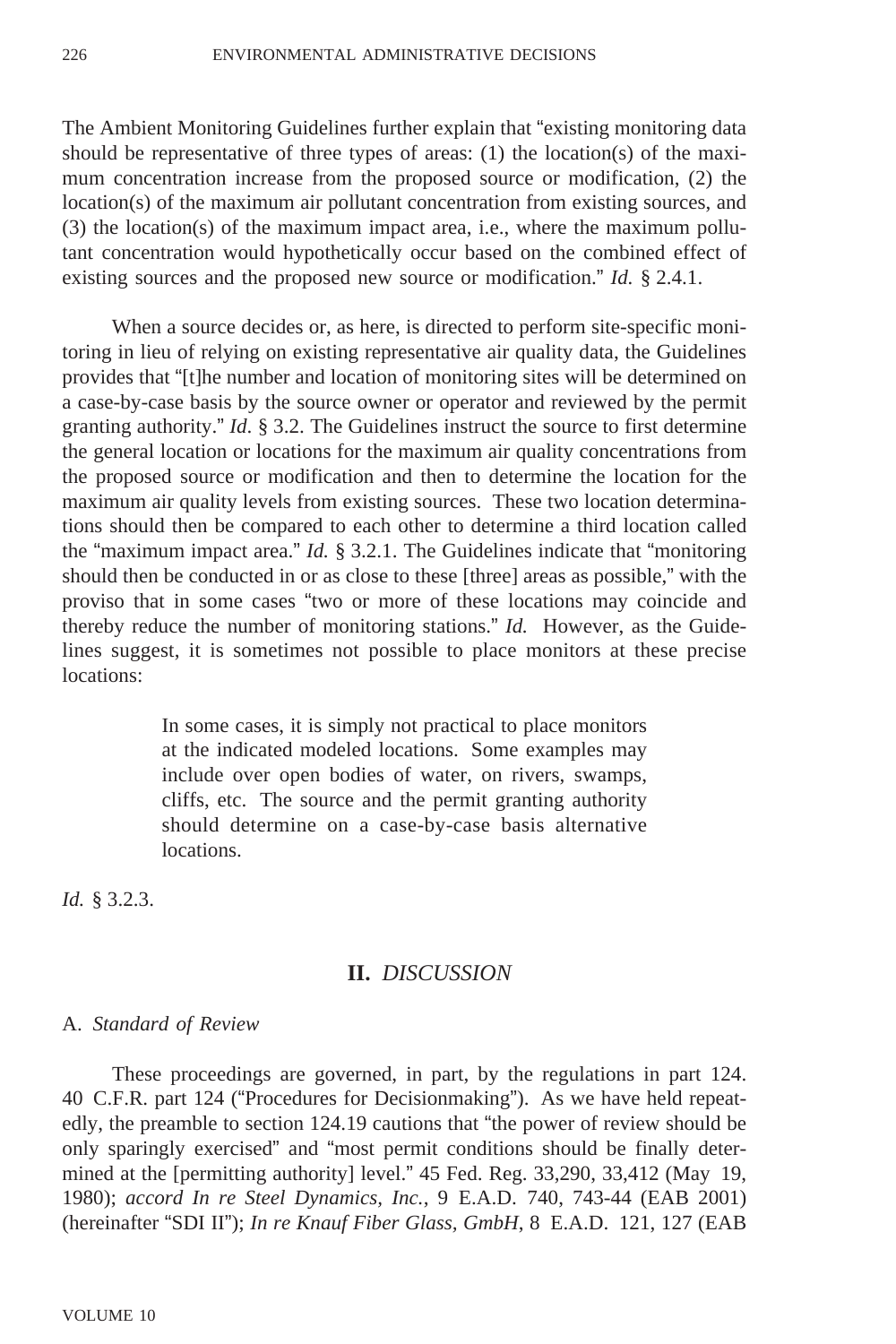The Ambient Monitoring Guidelines further explain that "existing monitoring data should be representative of three types of areas: (1) the location(s) of the maximum concentration increase from the proposed source or modification, (2) the location(s) of the maximum air pollutant concentration from existing sources, and (3) the location(s) of the maximum impact area, i.e., where the maximum pollutant concentration would hypothetically occur based on the combined effect of existing sources and the proposed new source or modification." *Id.* § 2.4.1.

When a source decides or, as here, is directed to perform site-specific monitoring in lieu of relying on existing representative air quality data, the Guidelines provides that "[t]he number and location of monitoring sites will be determined on a case-by-case basis by the source owner or operator and reviewed by the permit granting authority." *Id*. § 3.2. The Guidelines instruct the source to first determine the general location or locations for the maximum air quality concentrations from the proposed source or modification and then to determine the location for the maximum air quality levels from existing sources. These two location determinations should then be compared to each other to determine a third location called the "maximum impact area." *Id.* § 3.2.1. The Guidelines indicate that "monitoring should then be conducted in or as close to these [three] areas as possible," with the proviso that in some cases "two or more of these locations may coincide and thereby reduce the number of monitoring stations." *Id.* However, as the Guidelines suggest, it is sometimes not possible to place monitors at these precise locations:

> In some cases, it is simply not practical to place monitors at the indicated modeled locations. Some examples may include over open bodies of water, on rivers, swamps, cliffs, etc. The source and the permit granting authority should determine on a case-by-case basis alternative locations.

*Id.* § 3.2.3.

### **II.** *DISCUSSION*

#### A. *Standard of Review*

These proceedings are governed, in part, by the regulations in part 124. 40 C.F.R. part 124 ("Procedures for Decisionmaking"). As we have held repeatedly, the preamble to section 124.19 cautions that "the power of review should be only sparingly exercised" and "most permit conditions should be finally determined at the [permitting authority] level." 45 Fed. Reg. 33,290, 33,412 (May 19, 1980); *accord In re Steel Dynamics, Inc.*, 9 E.A.D. 740, 743-44 (EAB 2001) (hereinafter "SDI II"); *In re Knauf Fiber Glass, GmbH*, 8 E.A.D. 121, 127 (EAB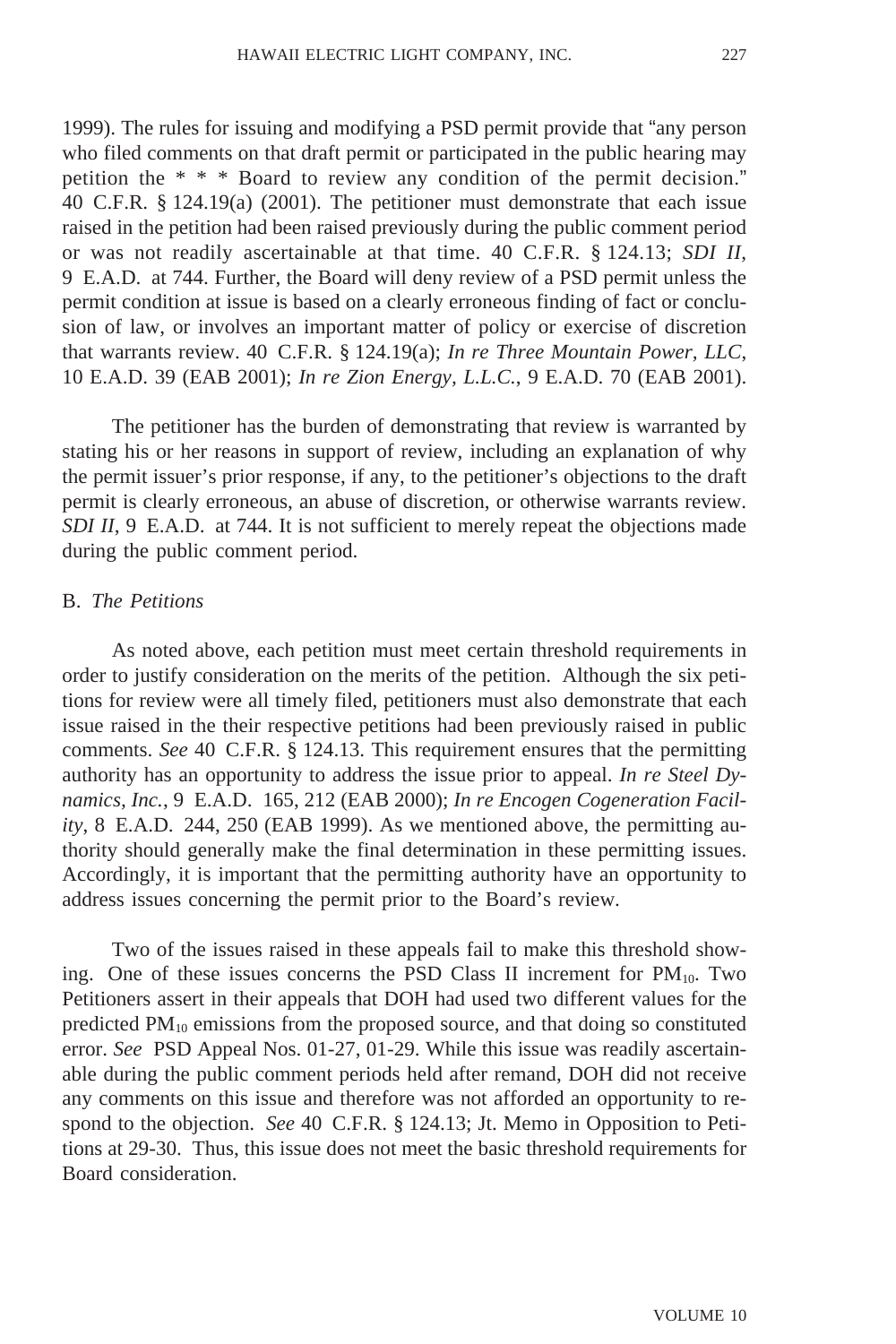1999). The rules for issuing and modifying a PSD permit provide that "any person who filed comments on that draft permit or participated in the public hearing may petition the \* \* \* Board to review any condition of the permit decision." 40 C.F.R. § 124.19(a) (2001). The petitioner must demonstrate that each issue raised in the petition had been raised previously during the public comment period or was not readily ascertainable at that time. 40 C.F.R. § 124.13; *SDI II*, 9 E.A.D. at 744. Further, the Board will deny review of a PSD permit unless the permit condition at issue is based on a clearly erroneous finding of fact or conclusion of law, or involves an important matter of policy or exercise of discretion that warrants review. 40 C.F.R. § 124.19(a); *In re Three Mountain Power, LLC*, 10 E.A.D. 39 (EAB 2001); *In re Zion Energy, L.L.C.*, 9 E.A.D. 70 (EAB 2001).

The petitioner has the burden of demonstrating that review is warranted by stating his or her reasons in support of review, including an explanation of why the permit issuer's prior response, if any, to the petitioner's objections to the draft permit is clearly erroneous, an abuse of discretion, or otherwise warrants review. *SDI II*, 9 E.A.D. at 744. It is not sufficient to merely repeat the objections made during the public comment period.

### B. *The Petitions*

As noted above, each petition must meet certain threshold requirements in order to justify consideration on the merits of the petition. Although the six petitions for review were all timely filed, petitioners must also demonstrate that each issue raised in the their respective petitions had been previously raised in public comments. *See* 40 C.F.R. § 124.13. This requirement ensures that the permitting authority has an opportunity to address the issue prior to appeal. *In re Steel Dynamics, Inc.*, 9 E.A.D. 165, 212 (EAB 2000); *In re Encogen Cogeneration Facility*, 8 E.A.D. 244, 250 (EAB 1999). As we mentioned above, the permitting authority should generally make the final determination in these permitting issues. Accordingly, it is important that the permitting authority have an opportunity to address issues concerning the permit prior to the Board's review.

Two of the issues raised in these appeals fail to make this threshold showing. One of these issues concerns the PSD Class II increment for  $PM_{10}$ . Two Petitioners assert in their appeals that DOH had used two different values for the predicted  $PM_{10}$  emissions from the proposed source, and that doing so constituted error. *See* PSD Appeal Nos. 01-27, 01-29. While this issue was readily ascertainable during the public comment periods held after remand, DOH did not receive any comments on this issue and therefore was not afforded an opportunity to respond to the objection. *See* 40 C.F.R. § 124.13; Jt. Memo in Opposition to Petitions at 29-30. Thus, this issue does not meet the basic threshold requirements for Board consideration.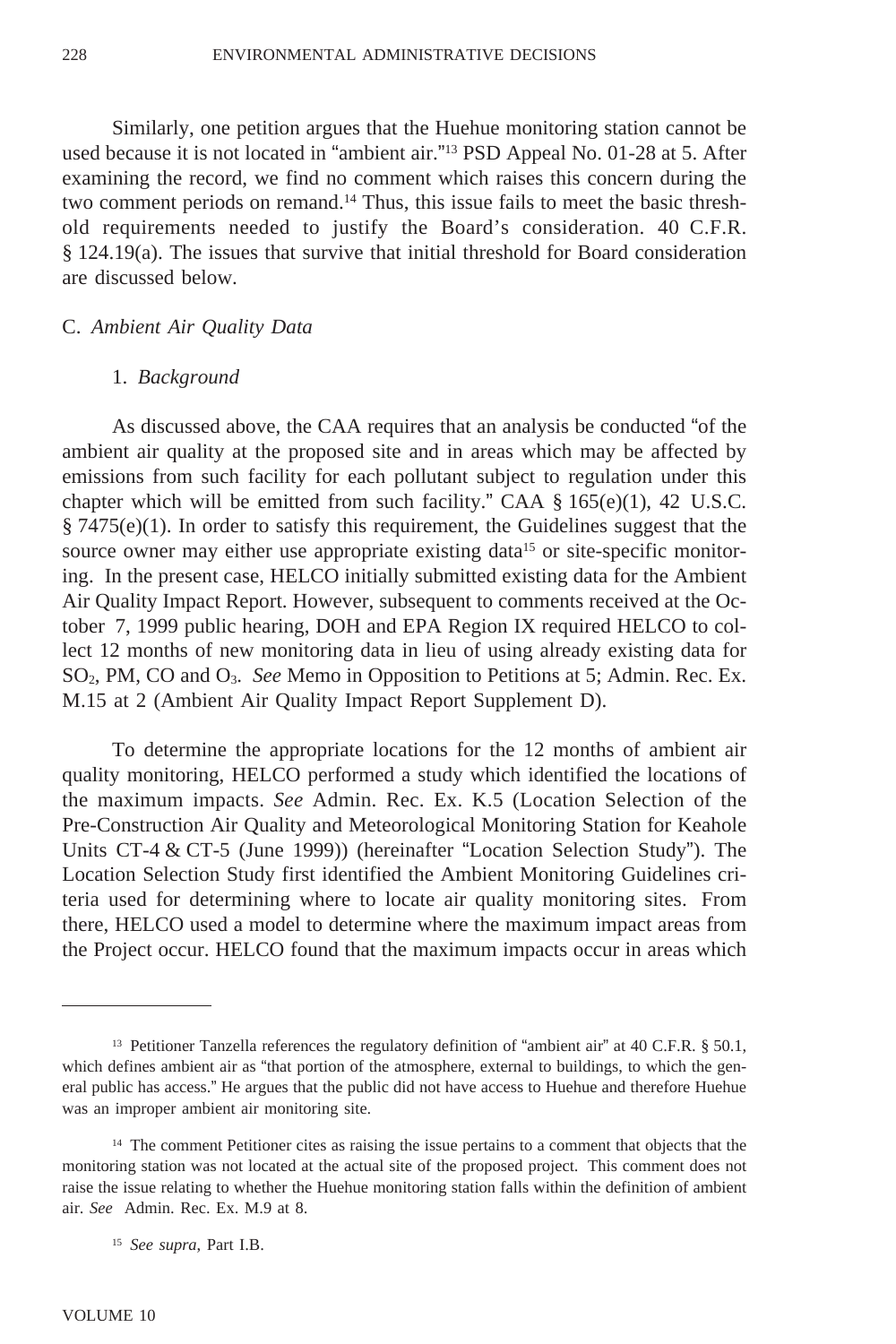Similarly, one petition argues that the Huehue monitoring station cannot be used because it is not located in "ambient air."13 PSD Appeal No. 01-28 at 5. After examining the record, we find no comment which raises this concern during the two comment periods on remand.14 Thus, this issue fails to meet the basic threshold requirements needed to justify the Board's consideration. 40 C.F.R. § 124.19(a). The issues that survive that initial threshold for Board consideration are discussed below.

### C. *Ambient Air Quality Data*

#### 1. *Background*

As discussed above, the CAA requires that an analysis be conducted "of the ambient air quality at the proposed site and in areas which may be affected by emissions from such facility for each pollutant subject to regulation under this chapter which will be emitted from such facility." CAA  $\S$  165(e)(1), 42 U.S.C.  $§$  7475(e)(1). In order to satisfy this requirement, the Guidelines suggest that the source owner may either use appropriate existing data<sup>15</sup> or site-specific monitoring. In the present case, HELCO initially submitted existing data for the Ambient Air Quality Impact Report. However, subsequent to comments received at the October 7, 1999 public hearing, DOH and EPA Region IX required HELCO to collect 12 months of new monitoring data in lieu of using already existing data for SO2, PM, CO and O3. *See* Memo in Opposition to Petitions at 5; Admin. Rec. Ex. M.15 at 2 (Ambient Air Quality Impact Report Supplement D).

To determine the appropriate locations for the 12 months of ambient air quality monitoring, HELCO performed a study which identified the locations of the maximum impacts. *See* Admin. Rec. Ex. K.5 (Location Selection of the Pre-Construction Air Quality and Meteorological Monitoring Station for Keahole Units CT-4 & CT-5 (June 1999)) (hereinafter "Location Selection Study"). The Location Selection Study first identified the Ambient Monitoring Guidelines criteria used for determining where to locate air quality monitoring sites. From there, HELCO used a model to determine where the maximum impact areas from the Project occur. HELCO found that the maximum impacts occur in areas which

<sup>&</sup>lt;sup>13</sup> Petitioner Tanzella references the regulatory definition of "ambient air" at 40 C.F.R. § 50.1, which defines ambient air as "that portion of the atmosphere, external to buildings, to which the general public has access." He argues that the public did not have access to Huehue and therefore Huehue was an improper ambient air monitoring site.

<sup>&</sup>lt;sup>14</sup> The comment Petitioner cites as raising the issue pertains to a comment that objects that the monitoring station was not located at the actual site of the proposed project. This comment does not raise the issue relating to whether the Huehue monitoring station falls within the definition of ambient air. *See* Admin. Rec. Ex. M.9 at 8.

<sup>15</sup> *See supra*, Part I.B.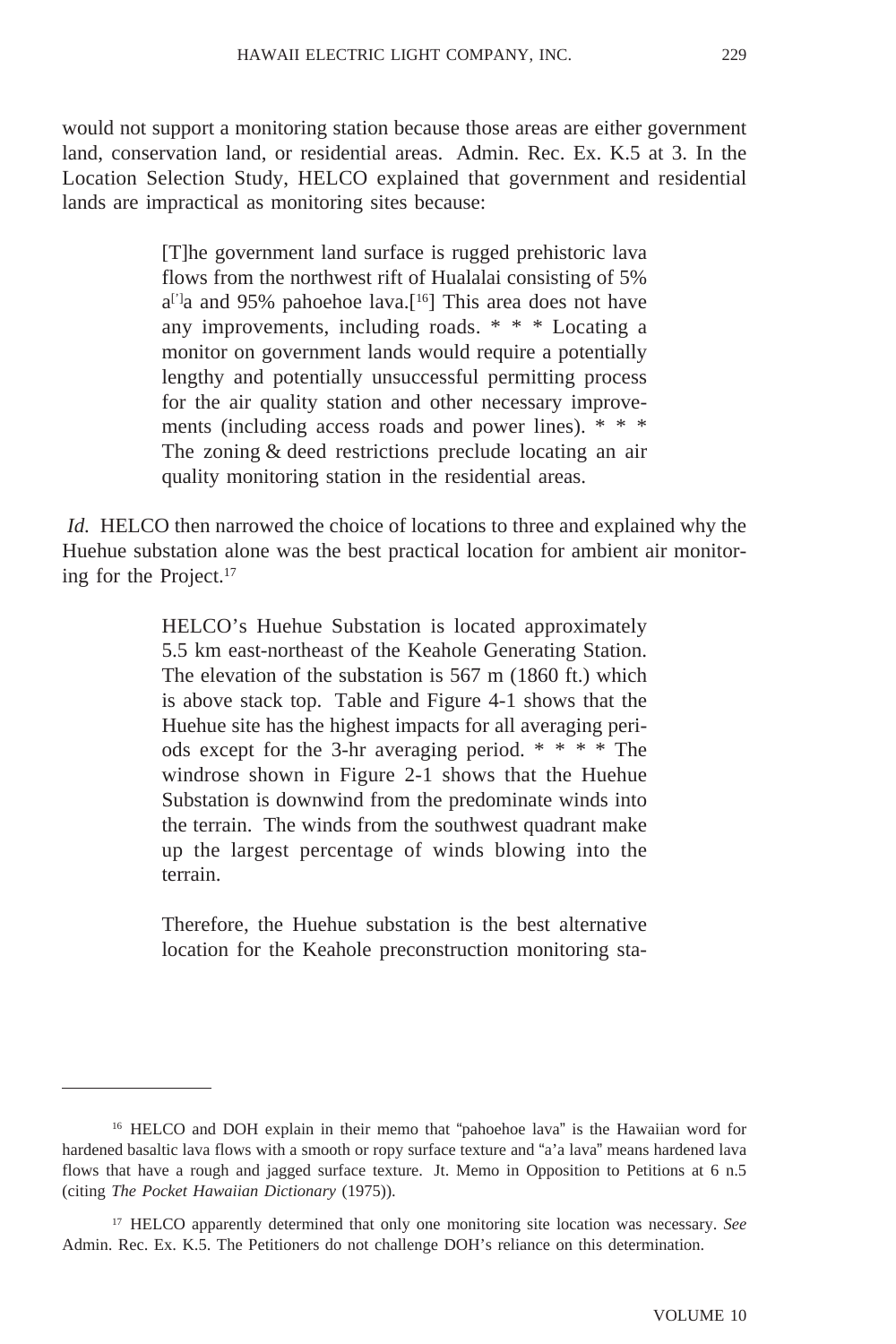would not support a monitoring station because those areas are either government land, conservation land, or residential areas. Admin. Rec. Ex. K.5 at 3. In the Location Selection Study, HELCO explained that government and residential lands are impractical as monitoring sites because:

> [T]he government land surface is rugged prehistoric lava flows from the northwest rift of Hualalai consisting of 5%  $a^{[3]}a$  and 95% pahoehoe lava.<sup>[16]</sup> This area does not have any improvements, including roads. \* \* \* Locating a monitor on government lands would require a potentially lengthy and potentially unsuccessful permitting process for the air quality station and other necessary improvements (including access roads and power lines). \* \* \* The zoning & deed restrictions preclude locating an air quality monitoring station in the residential areas.

*Id.* HELCO then narrowed the choice of locations to three and explained why the Huehue substation alone was the best practical location for ambient air monitoring for the Project.17

> HELCO's Huehue Substation is located approximately 5.5 km east-northeast of the Keahole Generating Station. The elevation of the substation is 567 m (1860 ft.) which is above stack top. Table and Figure 4-1 shows that the Huehue site has the highest impacts for all averaging periods except for the 3-hr averaging period. \* \* \* \* The windrose shown in Figure 2-1 shows that the Huehue Substation is downwind from the predominate winds into the terrain. The winds from the southwest quadrant make up the largest percentage of winds blowing into the terrain.

> Therefore, the Huehue substation is the best alternative location for the Keahole preconstruction monitoring sta-

<sup>&</sup>lt;sup>16</sup> HELCO and DOH explain in their memo that "pahoehoe lava" is the Hawaiian word for hardened basaltic lava flows with a smooth or ropy surface texture and "a'a lava" means hardened lava flows that have a rough and jagged surface texture. Jt. Memo in Opposition to Petitions at 6 n.5 (citing *The Pocket Hawaiian Dictionary* (1975)).

<sup>17</sup> HELCO apparently determined that only one monitoring site location was necessary. *See* Admin. Rec. Ex. K.5. The Petitioners do not challenge DOH's reliance on this determination.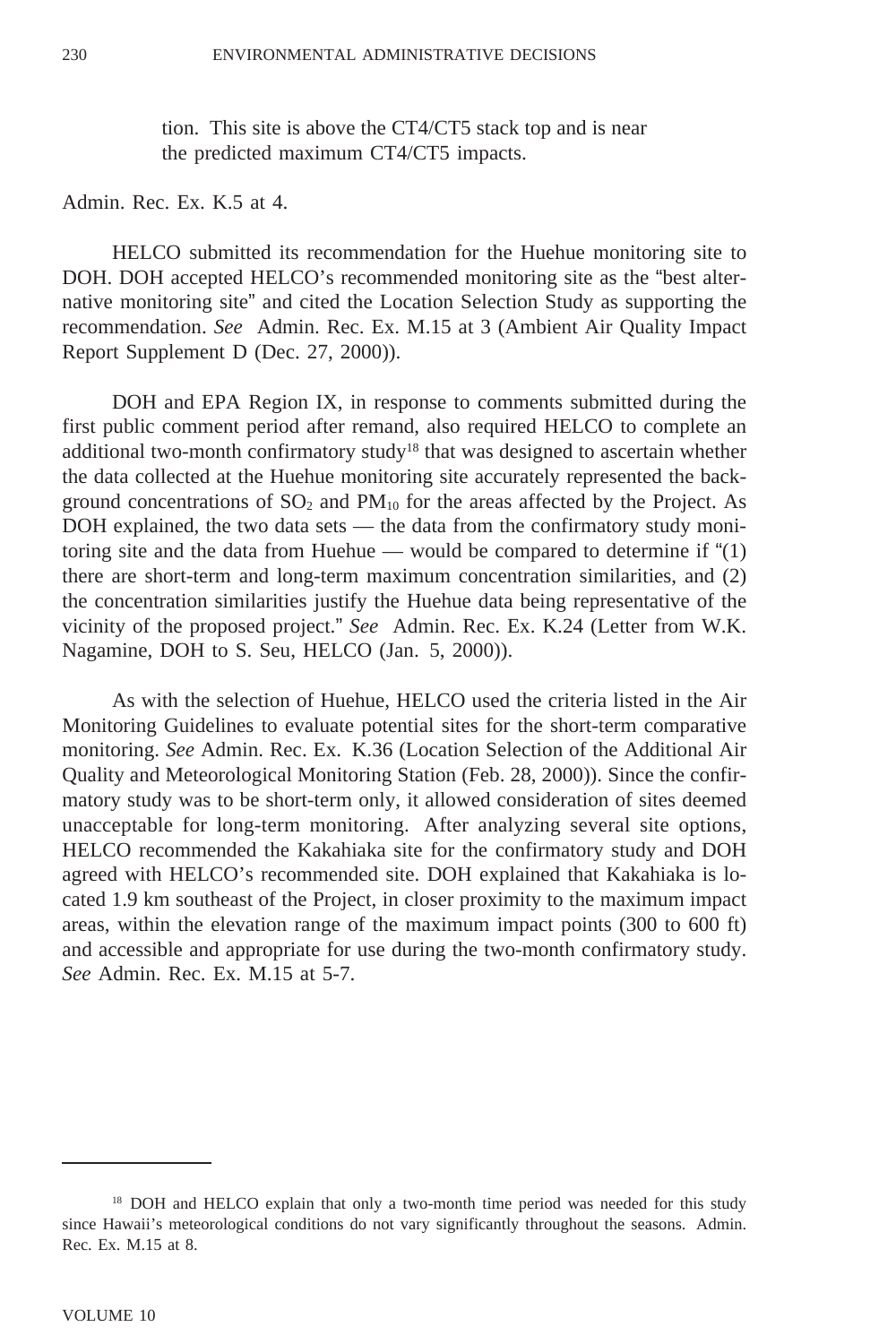tion. This site is above the CT4/CT5 stack top and is near the predicted maximum CT4/CT5 impacts.

Admin. Rec. Ex. K.5 at 4.

HELCO submitted its recommendation for the Huehue monitoring site to DOH. DOH accepted HELCO's recommended monitoring site as the "best alternative monitoring site" and cited the Location Selection Study as supporting the recommendation. *See* Admin. Rec. Ex. M.15 at 3 (Ambient Air Quality Impact Report Supplement D (Dec. 27, 2000)).

DOH and EPA Region IX, in response to comments submitted during the first public comment period after remand, also required HELCO to complete an additional two-month confirmatory study18 that was designed to ascertain whether the data collected at the Huehue monitoring site accurately represented the background concentrations of  $SO_2$  and  $PM_{10}$  for the areas affected by the Project. As DOH explained, the two data sets — the data from the confirmatory study monitoring site and the data from Huehue — would be compared to determine if "(1) there are short-term and long-term maximum concentration similarities, and (2) the concentration similarities justify the Huehue data being representative of the vicinity of the proposed project." *See* Admin. Rec. Ex. K.24 (Letter from W.K. Nagamine, DOH to S. Seu, HELCO (Jan. 5, 2000)).

As with the selection of Huehue, HELCO used the criteria listed in the Air Monitoring Guidelines to evaluate potential sites for the short-term comparative monitoring. *See* Admin. Rec. Ex. K.36 (Location Selection of the Additional Air Quality and Meteorological Monitoring Station (Feb. 28, 2000)). Since the confirmatory study was to be short-term only, it allowed consideration of sites deemed unacceptable for long-term monitoring. After analyzing several site options, HELCO recommended the Kakahiaka site for the confirmatory study and DOH agreed with HELCO's recommended site. DOH explained that Kakahiaka is located 1.9 km southeast of the Project, in closer proximity to the maximum impact areas, within the elevation range of the maximum impact points (300 to 600 ft) and accessible and appropriate for use during the two-month confirmatory study. *See* Admin. Rec. Ex. M.15 at 5-7.

<sup>&</sup>lt;sup>18</sup> DOH and HELCO explain that only a two-month time period was needed for this study since Hawaii's meteorological conditions do not vary significantly throughout the seasons. Admin. Rec. Ex. M.15 at 8.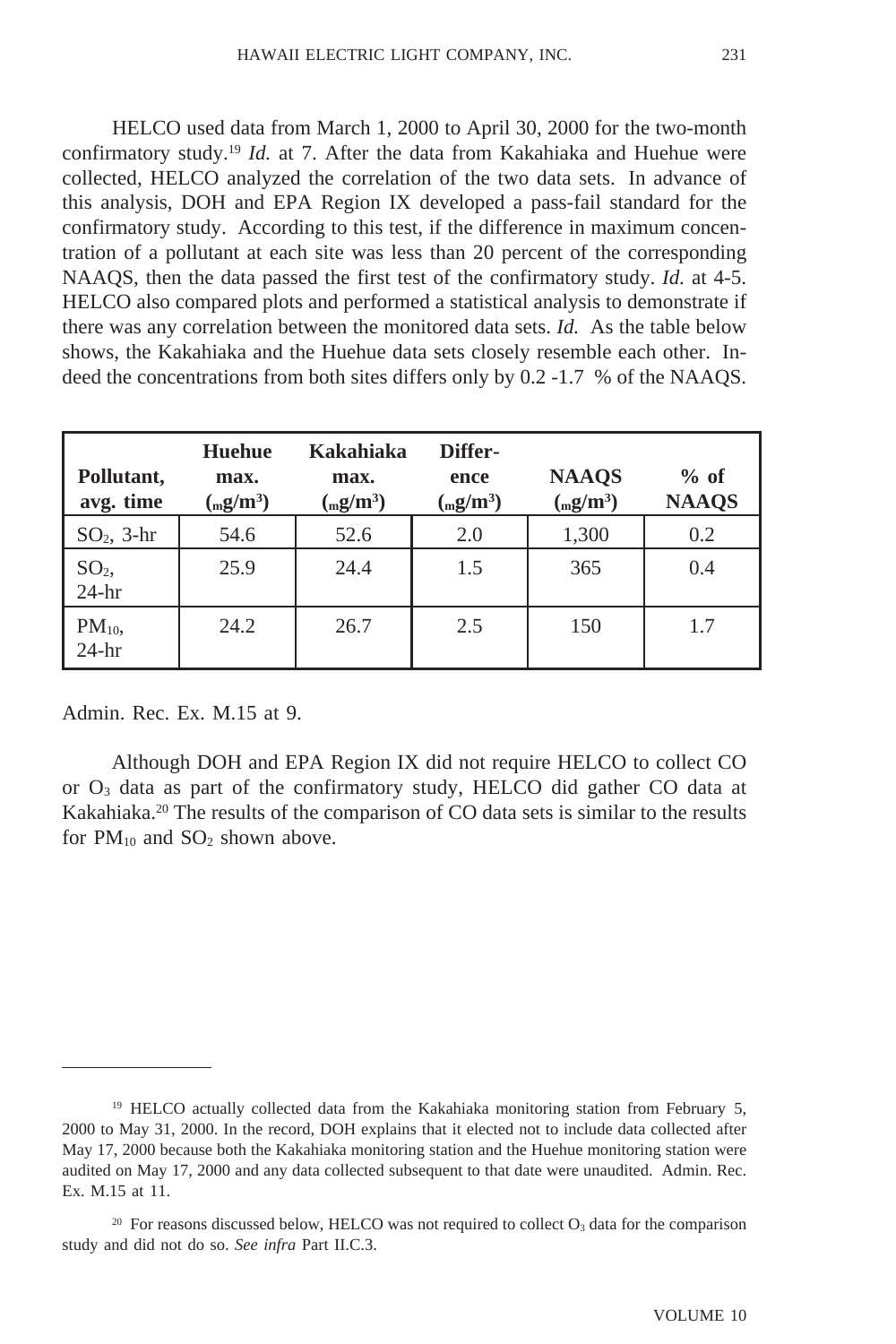HELCO used data from March 1, 2000 to April 30, 2000 for the two-month confirmatory study.19 *Id.* at 7. After the data from Kakahiaka and Huehue were collected, HELCO analyzed the correlation of the two data sets. In advance of this analysis, DOH and EPA Region IX developed a pass-fail standard for the confirmatory study. According to this test, if the difference in maximum concentration of a pollutant at each site was less than 20 percent of the corresponding NAAQS, then the data passed the first test of the confirmatory study. *Id.* at 4-5. HELCO also compared plots and performed a statistical analysis to demonstrate if there was any correlation between the monitored data sets. *Id.* As the table below shows, the Kakahiaka and the Huehue data sets closely resemble each other. Indeed the concentrations from both sites differs only by 0.2 -1.7 % of the NAAQS.

| Pollutant,<br>avg. time    | <b>Huehue</b><br>max.<br>$\left(\frac{mg}{m^3}\right)$ | Kakahiaka<br>max.<br>$\left(\frac{mg}{m^3}\right)$ | Differ-<br>ence<br>$\left(\frac{mg}{m^3}\right)$ | <b>NAAOS</b><br>$\left(\frac{mg}{m^3}\right)$ | $%$ of<br><b>NAAQS</b> |
|----------------------------|--------------------------------------------------------|----------------------------------------------------|--------------------------------------------------|-----------------------------------------------|------------------------|
| $SO2$ , 3-hr               | 54.6                                                   | 52.6                                               | 2.0                                              | 1,300                                         | 0.2                    |
| SO <sub>2</sub><br>$24-hr$ | 25.9                                                   | 24.4                                               | 1.5                                              | 365                                           | 0.4                    |
| $PM_{10}$<br>$24-hr$       | 24.2                                                   | 26.7                                               | 2.5                                              | 150                                           | 1.7                    |

Admin. Rec. Ex. M.15 at 9.

Although DOH and EPA Region IX did not require HELCO to collect CO or  $O_3$  data as part of the confirmatory study, HELCO did gather CO data at Kakahiaka.20 The results of the comparison of CO data sets is similar to the results for  $PM_{10}$  and  $SO_2$  shown above.

<sup>19</sup> HELCO actually collected data from the Kakahiaka monitoring station from February 5, 2000 to May 31, 2000. In the record, DOH explains that it elected not to include data collected after May 17, 2000 because both the Kakahiaka monitoring station and the Huehue monitoring station were audited on May 17, 2000 and any data collected subsequent to that date were unaudited. Admin. Rec. Ex. M.15 at 11.

 $20$  For reasons discussed below, HELCO was not required to collect  $O<sub>3</sub>$  data for the comparison study and did not do so. *See infra* Part II.C.3.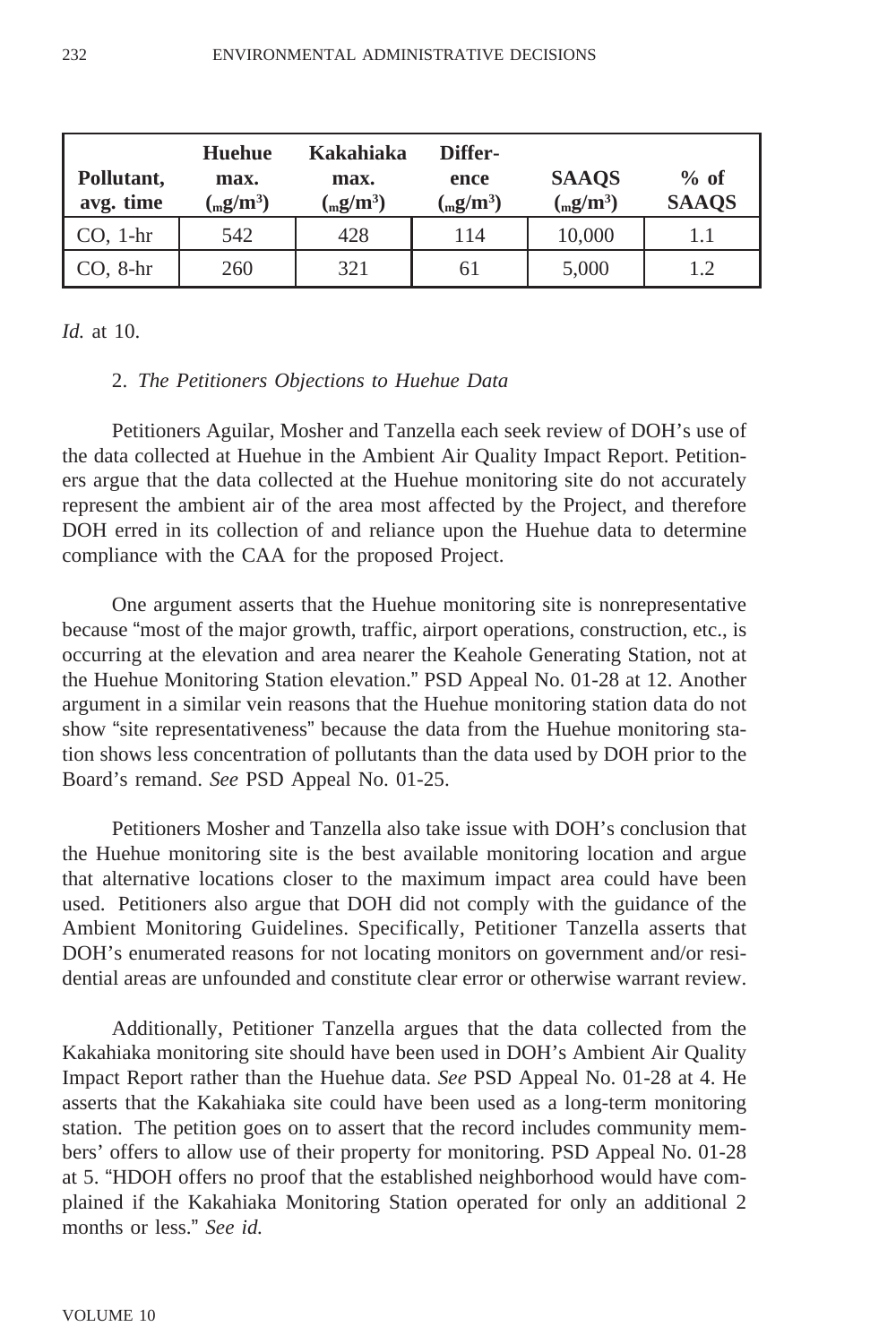| Pollutant,<br>avg. time | Huehue<br>max.<br>$\left(\frac{mg}{m^3}\right)$ | Kakahiaka<br>max.<br>$\left(\frac{mg}{m^3}\right)$ | Differ-<br>ence<br>$\left(\frac{mg}{m^3}\right)$ | <b>SAAQS</b><br>$\left(\frac{mg}{m^3}\right)$ | $%$ of<br><b>SAAQS</b> |
|-------------------------|-------------------------------------------------|----------------------------------------------------|--------------------------------------------------|-----------------------------------------------|------------------------|
| $CO1 - hr$              | 542                                             | 428                                                | 114                                              | 10,000                                        | 1.1                    |
| $CO$ , 8-hr             | 260                                             | 321                                                | 61                                               | 5,000                                         | 1.2                    |

*Id.* at 10.

#### 2. *The Petitioners Objections to Huehue Data*

Petitioners Aguilar, Mosher and Tanzella each seek review of DOH's use of the data collected at Huehue in the Ambient Air Quality Impact Report. Petitioners argue that the data collected at the Huehue monitoring site do not accurately represent the ambient air of the area most affected by the Project, and therefore DOH erred in its collection of and reliance upon the Huehue data to determine compliance with the CAA for the proposed Project.

One argument asserts that the Huehue monitoring site is nonrepresentative because "most of the major growth, traffic, airport operations, construction, etc., is occurring at the elevation and area nearer the Keahole Generating Station, not at the Huehue Monitoring Station elevation." PSD Appeal No. 01-28 at 12. Another argument in a similar vein reasons that the Huehue monitoring station data do not show "site representativeness" because the data from the Huehue monitoring station shows less concentration of pollutants than the data used by DOH prior to the Board's remand. *See* PSD Appeal No. 01-25.

Petitioners Mosher and Tanzella also take issue with DOH's conclusion that the Huehue monitoring site is the best available monitoring location and argue that alternative locations closer to the maximum impact area could have been used. Petitioners also argue that DOH did not comply with the guidance of the Ambient Monitoring Guidelines. Specifically, Petitioner Tanzella asserts that DOH's enumerated reasons for not locating monitors on government and/or residential areas are unfounded and constitute clear error or otherwise warrant review.

Additionally, Petitioner Tanzella argues that the data collected from the Kakahiaka monitoring site should have been used in DOH's Ambient Air Quality Impact Report rather than the Huehue data. *See* PSD Appeal No. 01-28 at 4. He asserts that the Kakahiaka site could have been used as a long-term monitoring station. The petition goes on to assert that the record includes community members' offers to allow use of their property for monitoring. PSD Appeal No. 01-28 at 5. "HDOH offers no proof that the established neighborhood would have complained if the Kakahiaka Monitoring Station operated for only an additional 2 months or less." *See id.*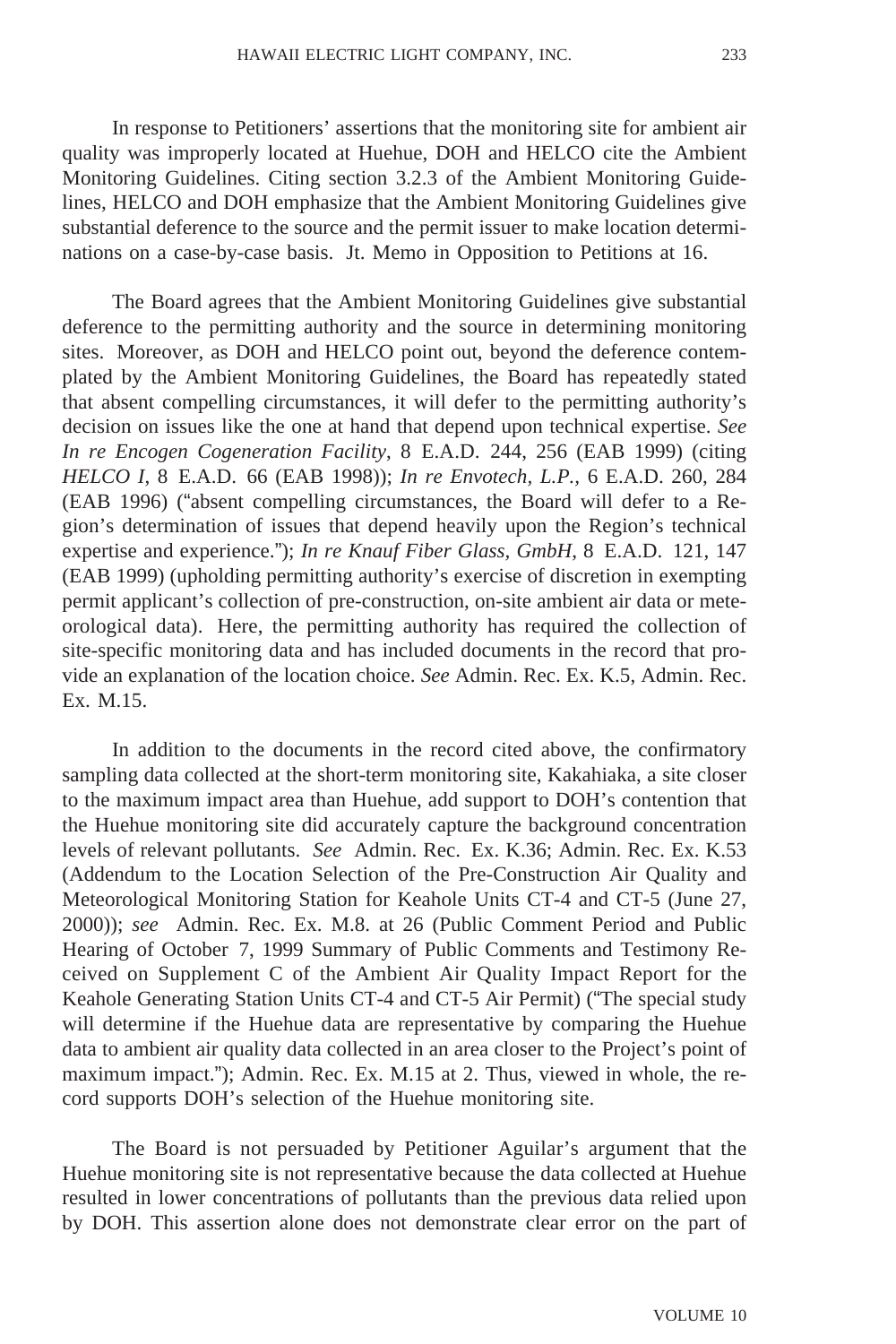In response to Petitioners' assertions that the monitoring site for ambient air quality was improperly located at Huehue, DOH and HELCO cite the Ambient Monitoring Guidelines. Citing section 3.2.3 of the Ambient Monitoring Guidelines, HELCO and DOH emphasize that the Ambient Monitoring Guidelines give substantial deference to the source and the permit issuer to make location determinations on a case-by-case basis. Jt. Memo in Opposition to Petitions at 16.

The Board agrees that the Ambient Monitoring Guidelines give substantial deference to the permitting authority and the source in determining monitoring sites. Moreover, as DOH and HELCO point out, beyond the deference contemplated by the Ambient Monitoring Guidelines, the Board has repeatedly stated that absent compelling circumstances, it will defer to the permitting authority's decision on issues like the one at hand that depend upon technical expertise. *See In re Encogen Cogeneration Facility*, 8 E.A.D. 244, 256 (EAB 1999) (citing *HELCO I*, 8 E.A.D. 66 (EAB 1998)); *In re Envotech, L.P.,* 6 E.A.D. 260, 284 (EAB 1996) ("absent compelling circumstances, the Board will defer to a Region's determination of issues that depend heavily upon the Region's technical expertise and experience."); *In re Knauf Fiber Glass, GmbH*, 8 E.A.D. 121, 147 (EAB 1999) (upholding permitting authority's exercise of discretion in exempting permit applicant's collection of pre-construction, on-site ambient air data or meteorological data). Here, the permitting authority has required the collection of site-specific monitoring data and has included documents in the record that provide an explanation of the location choice. *See* Admin. Rec. Ex. K.5, Admin. Rec. Ex. M.15.

In addition to the documents in the record cited above, the confirmatory sampling data collected at the short-term monitoring site, Kakahiaka, a site closer to the maximum impact area than Huehue, add support to DOH's contention that the Huehue monitoring site did accurately capture the background concentration levels of relevant pollutants. *See* Admin. Rec. Ex. K.36; Admin. Rec. Ex. K.53 (Addendum to the Location Selection of the Pre-Construction Air Quality and Meteorological Monitoring Station for Keahole Units CT-4 and CT-5 (June 27, 2000)); *see* Admin. Rec. Ex. M.8. at 26 (Public Comment Period and Public Hearing of October 7, 1999 Summary of Public Comments and Testimony Received on Supplement C of the Ambient Air Quality Impact Report for the Keahole Generating Station Units CT-4 and CT-5 Air Permit) ("The special study will determine if the Huehue data are representative by comparing the Huehue data to ambient air quality data collected in an area closer to the Project's point of maximum impact."); Admin. Rec. Ex. M.15 at 2. Thus, viewed in whole, the record supports DOH's selection of the Huehue monitoring site.

The Board is not persuaded by Petitioner Aguilar's argument that the Huehue monitoring site is not representative because the data collected at Huehue resulted in lower concentrations of pollutants than the previous data relied upon by DOH. This assertion alone does not demonstrate clear error on the part of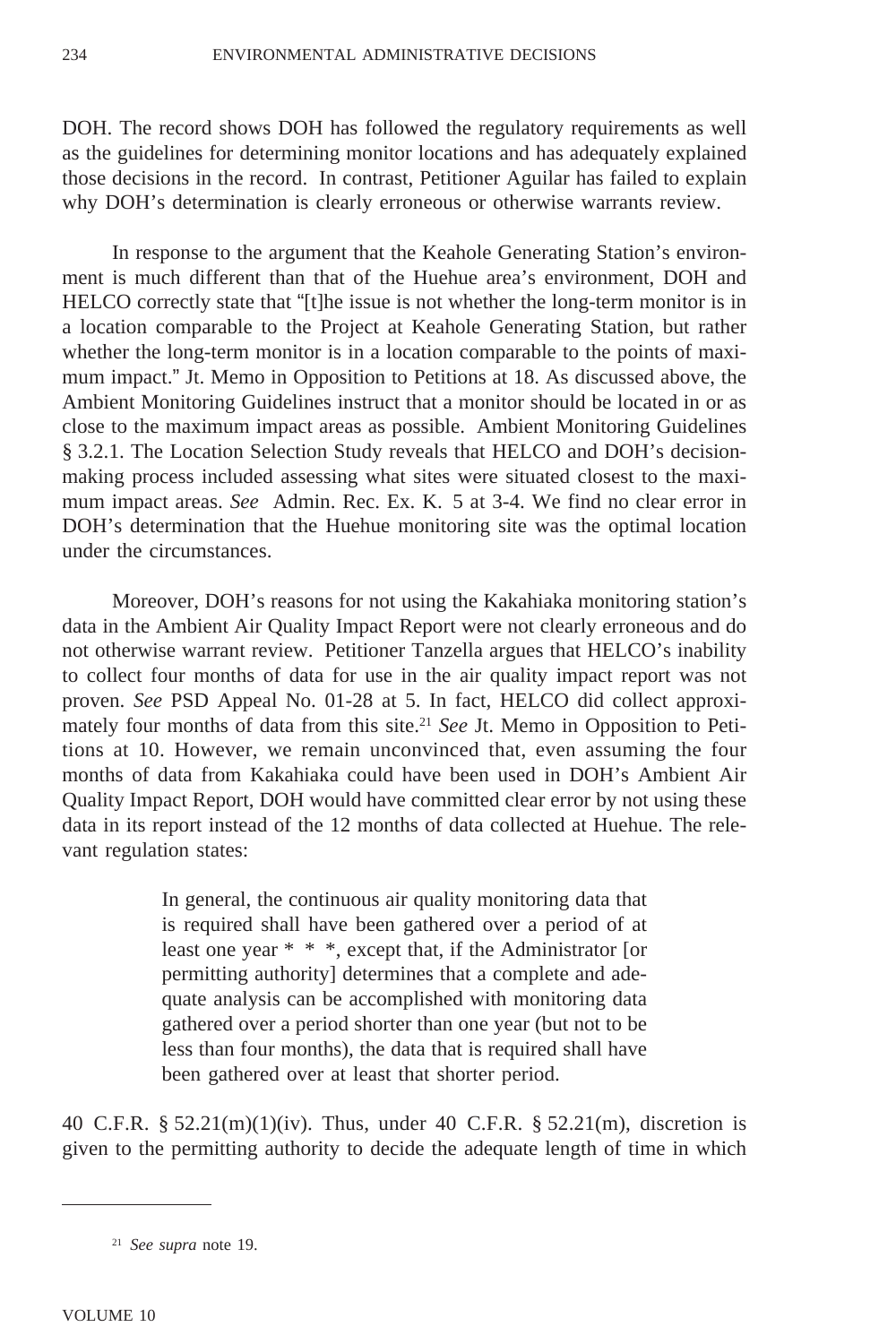DOH. The record shows DOH has followed the regulatory requirements as well as the guidelines for determining monitor locations and has adequately explained those decisions in the record. In contrast, Petitioner Aguilar has failed to explain why DOH's determination is clearly erroneous or otherwise warrants review.

In response to the argument that the Keahole Generating Station's environment is much different than that of the Huehue area's environment, DOH and HELCO correctly state that "[t]he issue is not whether the long-term monitor is in a location comparable to the Project at Keahole Generating Station, but rather whether the long-term monitor is in a location comparable to the points of maximum impact." Jt. Memo in Opposition to Petitions at 18. As discussed above, the Ambient Monitoring Guidelines instruct that a monitor should be located in or as close to the maximum impact areas as possible. Ambient Monitoring Guidelines § 3.2.1. The Location Selection Study reveals that HELCO and DOH's decisionmaking process included assessing what sites were situated closest to the maximum impact areas. *See* Admin. Rec. Ex. K. 5 at 3-4. We find no clear error in DOH's determination that the Huehue monitoring site was the optimal location under the circumstances.

Moreover, DOH's reasons for not using the Kakahiaka monitoring station's data in the Ambient Air Quality Impact Report were not clearly erroneous and do not otherwise warrant review. Petitioner Tanzella argues that HELCO's inability to collect four months of data for use in the air quality impact report was not proven. *See* PSD Appeal No. 01-28 at 5. In fact, HELCO did collect approximately four months of data from this site.21 *See* Jt. Memo in Opposition to Petitions at 10. However, we remain unconvinced that, even assuming the four months of data from Kakahiaka could have been used in DOH's Ambient Air Quality Impact Report, DOH would have committed clear error by not using these data in its report instead of the 12 months of data collected at Huehue. The relevant regulation states:

> In general, the continuous air quality monitoring data that is required shall have been gathered over a period of at least one year \* \* \*, except that, if the Administrator [or permitting authority] determines that a complete and adequate analysis can be accomplished with monitoring data gathered over a period shorter than one year (but not to be less than four months), the data that is required shall have been gathered over at least that shorter period.

40 C.F.R. §  $52.21(m)(1)(iv)$ . Thus, under 40 C.F.R. §  $52.21(m)$ , discretion is given to the permitting authority to decide the adequate length of time in which

<sup>21</sup> *See supra* note 19.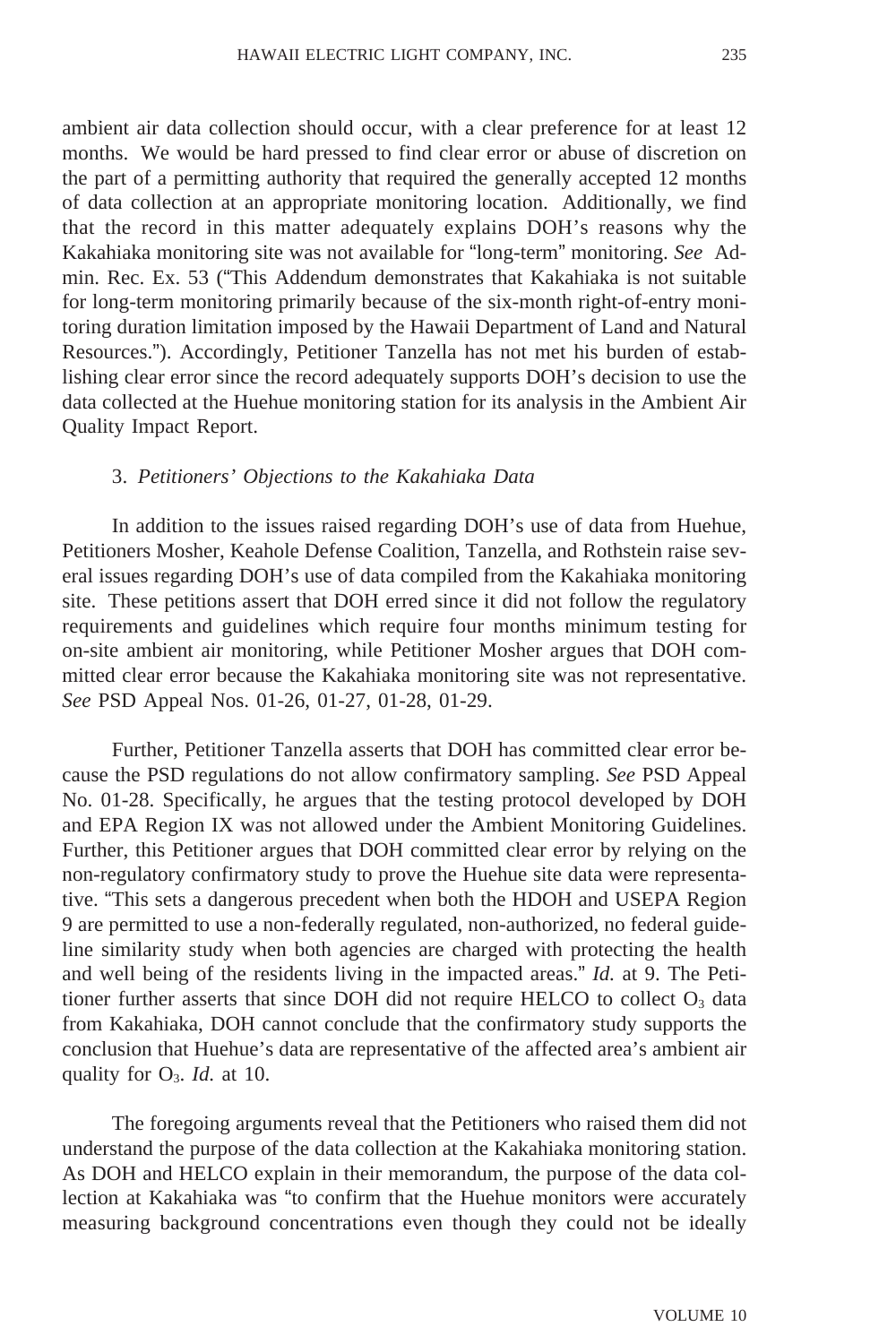ambient air data collection should occur, with a clear preference for at least 12 months. We would be hard pressed to find clear error or abuse of discretion on the part of a permitting authority that required the generally accepted 12 months of data collection at an appropriate monitoring location. Additionally, we find that the record in this matter adequately explains DOH's reasons why the Kakahiaka monitoring site was not available for "long-term" monitoring. *See* Admin. Rec. Ex. 53 ("This Addendum demonstrates that Kakahiaka is not suitable for long-term monitoring primarily because of the six-month right-of-entry monitoring duration limitation imposed by the Hawaii Department of Land and Natural Resources."). Accordingly, Petitioner Tanzella has not met his burden of establishing clear error since the record adequately supports DOH's decision to use the data collected at the Huehue monitoring station for its analysis in the Ambient Air Quality Impact Report.

# 3. *Petitioners' Objections to the Kakahiaka Data*

In addition to the issues raised regarding DOH's use of data from Huehue, Petitioners Mosher, Keahole Defense Coalition, Tanzella, and Rothstein raise several issues regarding DOH's use of data compiled from the Kakahiaka monitoring site. These petitions assert that DOH erred since it did not follow the regulatory requirements and guidelines which require four months minimum testing for on-site ambient air monitoring, while Petitioner Mosher argues that DOH committed clear error because the Kakahiaka monitoring site was not representative. *See* PSD Appeal Nos. 01-26, 01-27, 01-28, 01-29.

Further, Petitioner Tanzella asserts that DOH has committed clear error because the PSD regulations do not allow confirmatory sampling. *See* PSD Appeal No. 01-28. Specifically, he argues that the testing protocol developed by DOH and EPA Region IX was not allowed under the Ambient Monitoring Guidelines. Further, this Petitioner argues that DOH committed clear error by relying on the non-regulatory confirmatory study to prove the Huehue site data were representative. "This sets a dangerous precedent when both the HDOH and USEPA Region 9 are permitted to use a non-federally regulated, non-authorized, no federal guideline similarity study when both agencies are charged with protecting the health and well being of the residents living in the impacted areas." *Id.* at 9. The Petitioner further asserts that since DOH did not require HELCO to collect  $O_3$  data from Kakahiaka, DOH cannot conclude that the confirmatory study supports the conclusion that Huehue's data are representative of the affected area's ambient air quality for  $O_3$ . *Id.* at 10.

The foregoing arguments reveal that the Petitioners who raised them did not understand the purpose of the data collection at the Kakahiaka monitoring station. As DOH and HELCO explain in their memorandum, the purpose of the data collection at Kakahiaka was "to confirm that the Huehue monitors were accurately measuring background concentrations even though they could not be ideally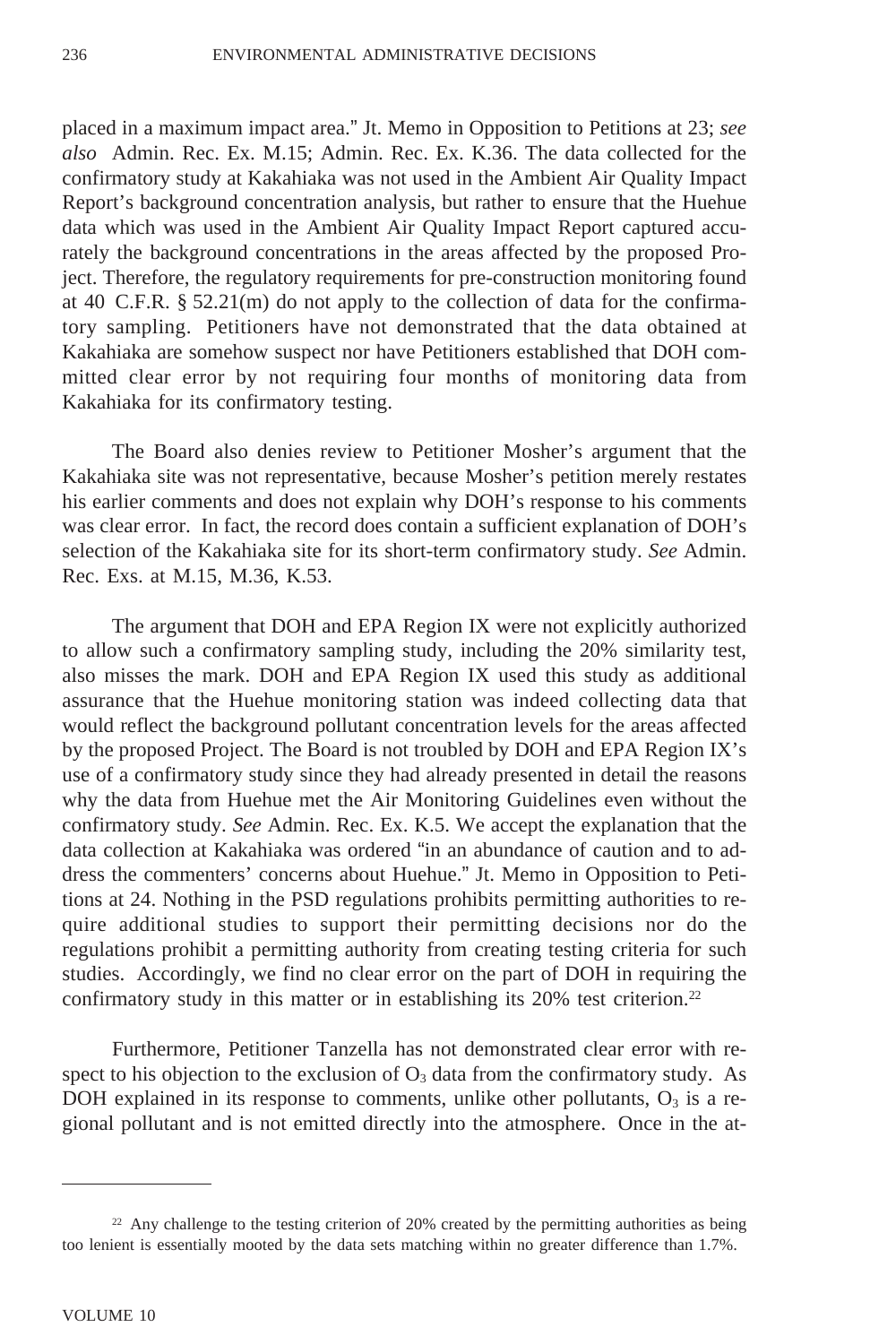placed in a maximum impact area." Jt. Memo in Opposition to Petitions at 23; *see also* Admin. Rec. Ex. M.15; Admin. Rec. Ex. K.36. The data collected for the confirmatory study at Kakahiaka was not used in the Ambient Air Quality Impact Report's background concentration analysis, but rather to ensure that the Huehue data which was used in the Ambient Air Quality Impact Report captured accurately the background concentrations in the areas affected by the proposed Project. Therefore, the regulatory requirements for pre-construction monitoring found at 40 C.F.R. § 52.21(m) do not apply to the collection of data for the confirmatory sampling. Petitioners have not demonstrated that the data obtained at Kakahiaka are somehow suspect nor have Petitioners established that DOH committed clear error by not requiring four months of monitoring data from Kakahiaka for its confirmatory testing.

The Board also denies review to Petitioner Mosher's argument that the Kakahiaka site was not representative, because Mosher's petition merely restates his earlier comments and does not explain why DOH's response to his comments was clear error. In fact, the record does contain a sufficient explanation of DOH's selection of the Kakahiaka site for its short-term confirmatory study. *See* Admin. Rec. Exs. at M.15, M.36, K.53.

The argument that DOH and EPA Region IX were not explicitly authorized to allow such a confirmatory sampling study, including the 20% similarity test, also misses the mark. DOH and EPA Region IX used this study as additional assurance that the Huehue monitoring station was indeed collecting data that would reflect the background pollutant concentration levels for the areas affected by the proposed Project. The Board is not troubled by DOH and EPA Region IX's use of a confirmatory study since they had already presented in detail the reasons why the data from Huehue met the Air Monitoring Guidelines even without the confirmatory study. *See* Admin. Rec. Ex. K.5. We accept the explanation that the data collection at Kakahiaka was ordered "in an abundance of caution and to address the commenters' concerns about Huehue." Jt. Memo in Opposition to Petitions at 24. Nothing in the PSD regulations prohibits permitting authorities to require additional studies to support their permitting decisions nor do the regulations prohibit a permitting authority from creating testing criteria for such studies. Accordingly, we find no clear error on the part of DOH in requiring the confirmatory study in this matter or in establishing its 20% test criterion.<sup>22</sup>

Furthermore, Petitioner Tanzella has not demonstrated clear error with respect to his objection to the exclusion of  $O_3$  data from the confirmatory study. As DOH explained in its response to comments, unlike other pollutants,  $O_3$  is a regional pollutant and is not emitted directly into the atmosphere. Once in the at-

<sup>&</sup>lt;sup>22</sup> Any challenge to the testing criterion of 20% created by the permitting authorities as being too lenient is essentially mooted by the data sets matching within no greater difference than 1.7%.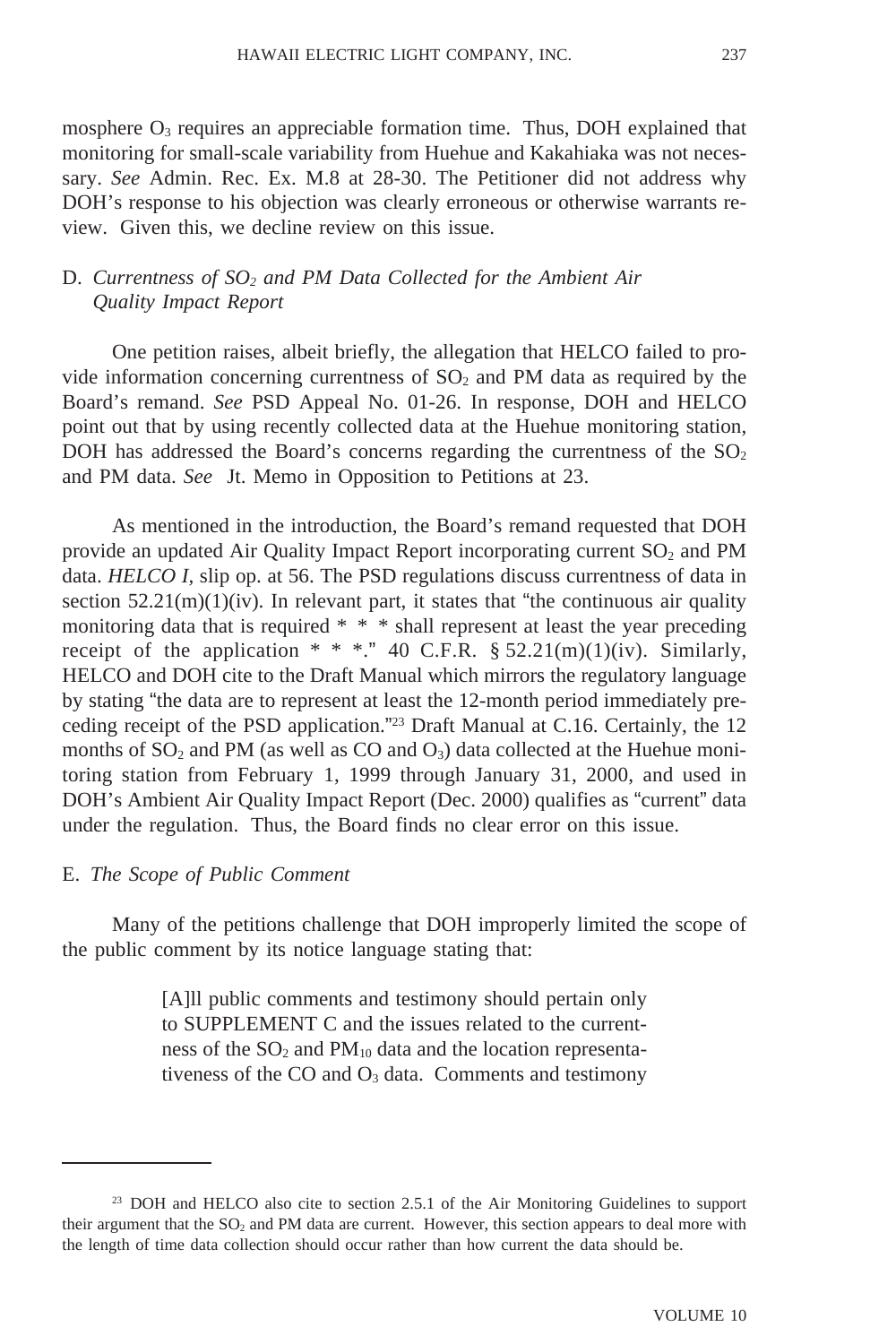mosphere  $O_3$  requires an appreciable formation time. Thus, DOH explained that monitoring for small-scale variability from Huehue and Kakahiaka was not necessary. *See* Admin. Rec. Ex. M.8 at 28-30. The Petitioner did not address why DOH's response to his objection was clearly erroneous or otherwise warrants review. Given this, we decline review on this issue.

### D. *Currentness of SO<sub>2</sub> and PM Data Collected for the Ambient Air Quality Impact Report*

One petition raises, albeit briefly, the allegation that HELCO failed to provide information concerning currentness of  $SO<sub>2</sub>$  and PM data as required by the Board's remand. *See* PSD Appeal No. 01-26. In response, DOH and HELCO point out that by using recently collected data at the Huehue monitoring station, DOH has addressed the Board's concerns regarding the currentness of the  $SO<sub>2</sub>$ and PM data. *See* Jt. Memo in Opposition to Petitions at 23.

As mentioned in the introduction, the Board's remand requested that DOH provide an updated Air Quality Impact Report incorporating current  $SO<sub>2</sub>$  and PM data. *HELCO I,* slip op. at 56. The PSD regulations discuss currentness of data in section  $52.21(m)(1)(iv)$ . In relevant part, it states that "the continuous air quality monitoring data that is required \* \* \* shall represent at least the year preceding receipt of the application  $* * *$ ." 40 C.F.R. § 52.21(m)(1)(iv). Similarly, HELCO and DOH cite to the Draft Manual which mirrors the regulatory language by stating "the data are to represent at least the 12-month period immediately preceding receipt of the PSD application."23 Draft Manual at C.16. Certainly, the 12 months of  $SO_2$  and PM (as well as CO and  $O_3$ ) data collected at the Huehue monitoring station from February 1, 1999 through January 31, 2000, and used in DOH's Ambient Air Quality Impact Report (Dec. 2000) qualifies as "current" data under the regulation. Thus, the Board finds no clear error on this issue.

#### E. *The Scope of Public Comment*

Many of the petitions challenge that DOH improperly limited the scope of the public comment by its notice language stating that:

> [A]ll public comments and testimony should pertain only to SUPPLEMENT C and the issues related to the currentness of the  $SO_2$  and  $PM_{10}$  data and the location representativeness of the  $CO$  and  $O_3$  data. Comments and testimony

<sup>&</sup>lt;sup>23</sup> DOH and HELCO also cite to section 2.5.1 of the Air Monitoring Guidelines to support their argument that the SO<sub>2</sub> and PM data are current. However, this section appears to deal more with the length of time data collection should occur rather than how current the data should be.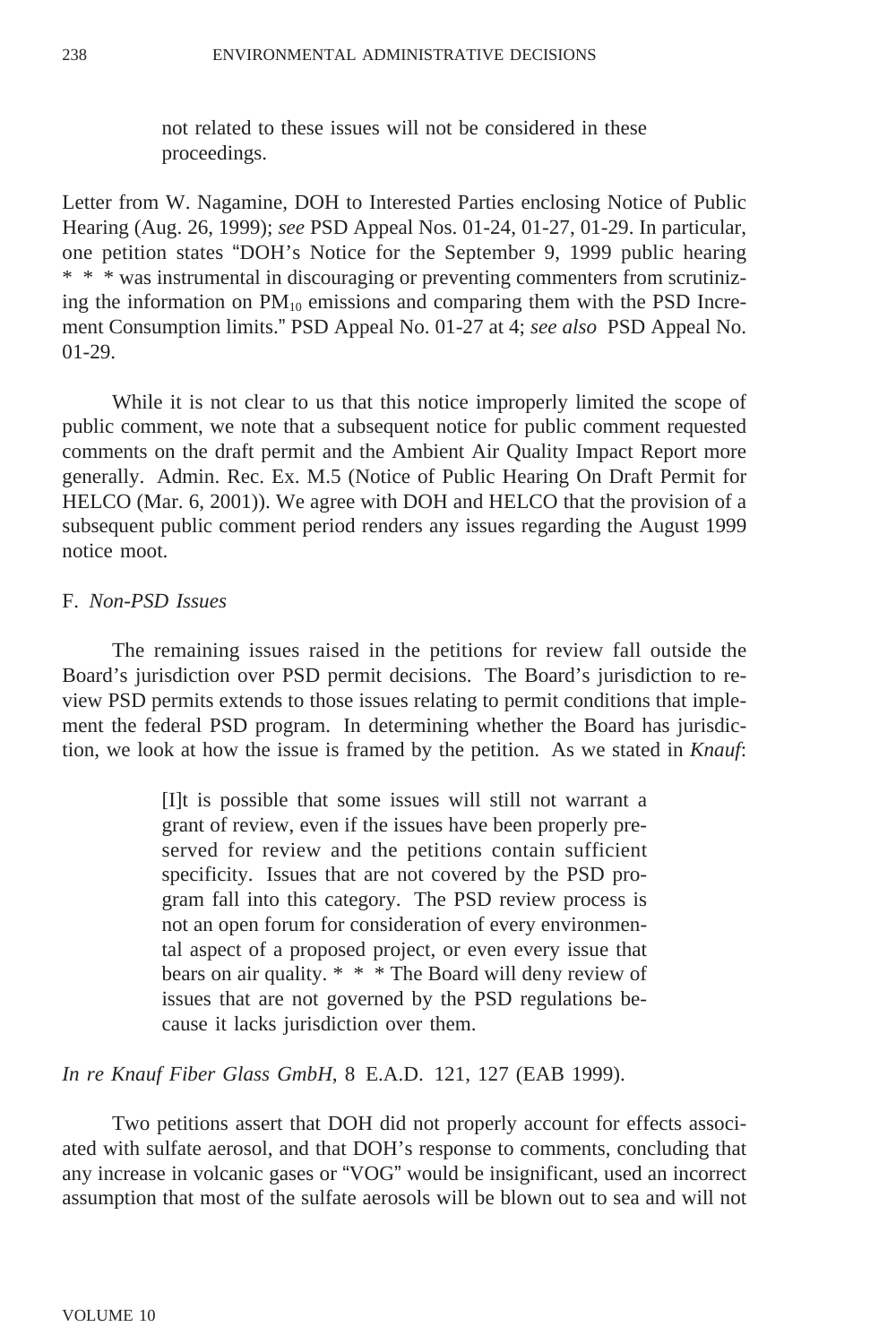not related to these issues will not be considered in these proceedings.

Letter from W. Nagamine, DOH to Interested Parties enclosing Notice of Public Hearing (Aug. 26, 1999); *see* PSD Appeal Nos. 01-24, 01-27, 01-29. In particular, one petition states "DOH's Notice for the September 9, 1999 public hearing \* \* \* was instrumental in discouraging or preventing commenters from scrutinizing the information on  $PM_{10}$  emissions and comparing them with the PSD Increment Consumption limits." PSD Appeal No. 01-27 at 4; *see also* PSD Appeal No. 01-29.

While it is not clear to us that this notice improperly limited the scope of public comment, we note that a subsequent notice for public comment requested comments on the draft permit and the Ambient Air Quality Impact Report more generally. Admin. Rec. Ex. M.5 (Notice of Public Hearing On Draft Permit for HELCO (Mar. 6, 2001)). We agree with DOH and HELCO that the provision of a subsequent public comment period renders any issues regarding the August 1999 notice moot.

### F. *Non-PSD Issues*

The remaining issues raised in the petitions for review fall outside the Board's jurisdiction over PSD permit decisions. The Board's jurisdiction to review PSD permits extends to those issues relating to permit conditions that implement the federal PSD program. In determining whether the Board has jurisdiction, we look at how the issue is framed by the petition. As we stated in *Knauf*:

> [I]t is possible that some issues will still not warrant a grant of review, even if the issues have been properly preserved for review and the petitions contain sufficient specificity. Issues that are not covered by the PSD program fall into this category. The PSD review process is not an open forum for consideration of every environmental aspect of a proposed project, or even every issue that bears on air quality. \* \* \* The Board will deny review of issues that are not governed by the PSD regulations because it lacks jurisdiction over them.

*In re Knauf Fiber Glass GmbH*, 8 E.A.D. 121, 127 (EAB 1999).

Two petitions assert that DOH did not properly account for effects associated with sulfate aerosol, and that DOH's response to comments, concluding that any increase in volcanic gases or "VOG" would be insignificant, used an incorrect assumption that most of the sulfate aerosols will be blown out to sea and will not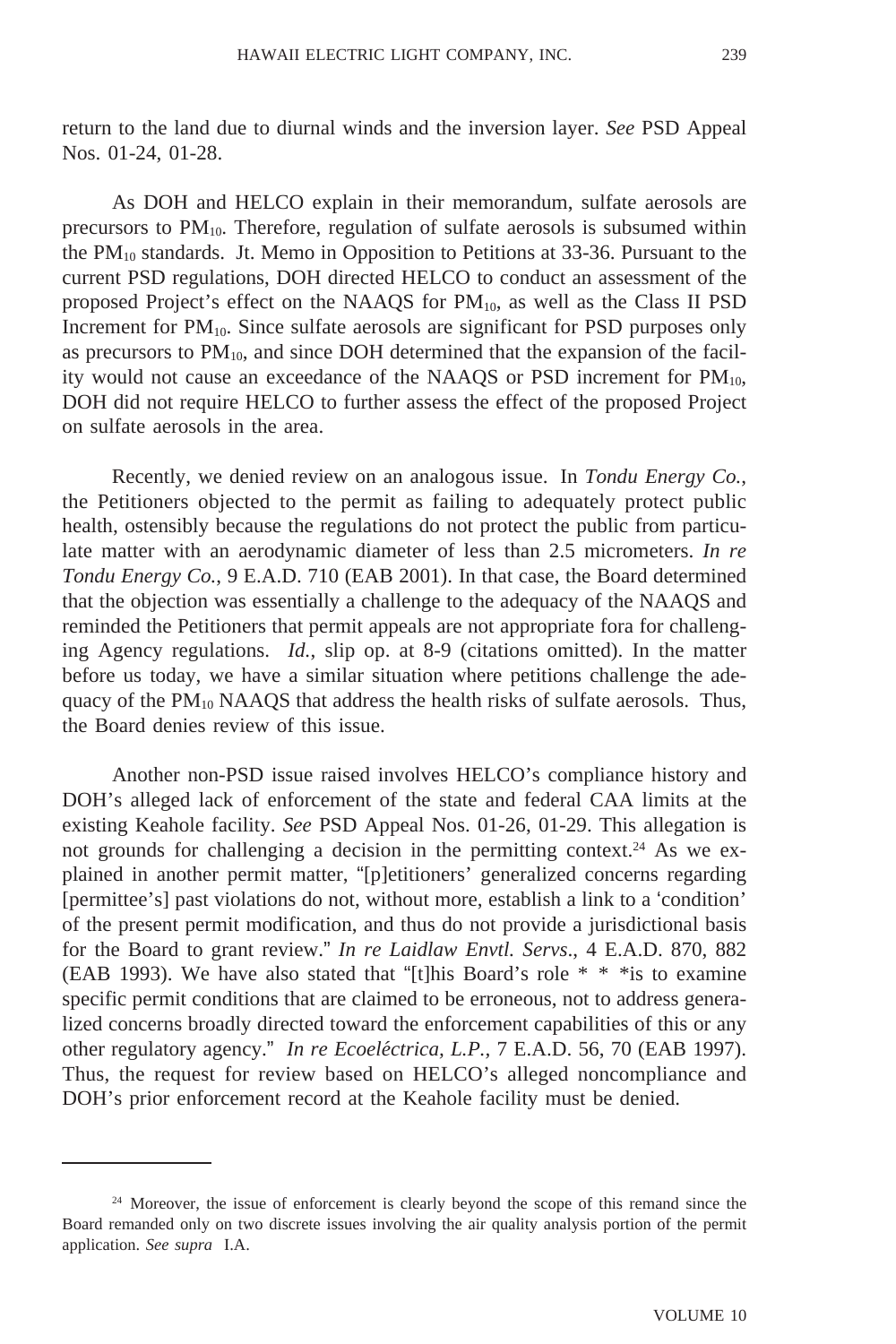return to the land due to diurnal winds and the inversion layer. *See* PSD Appeal Nos. 01-24, 01-28.

As DOH and HELCO explain in their memorandum, sulfate aerosols are precursors to  $PM_{10}$ . Therefore, regulation of sulfate aerosols is subsumed within the  $PM_{10}$  standards. Jt. Memo in Opposition to Petitions at 33-36. Pursuant to the current PSD regulations, DOH directed HELCO to conduct an assessment of the proposed Project's effect on the NAAQS for  $PM_{10}$ , as well as the Class II PSD Increment for  $PM_{10}$ . Since sulfate aerosols are significant for PSD purposes only as precursors to  $PM_{10}$ , and since DOH determined that the expansion of the facility would not cause an exceedance of the NAAQS or PSD increment for  $PM_{10}$ , DOH did not require HELCO to further assess the effect of the proposed Project on sulfate aerosols in the area.

Recently, we denied review on an analogous issue. In *Tondu Energy Co.*, the Petitioners objected to the permit as failing to adequately protect public health, ostensibly because the regulations do not protect the public from particulate matter with an aerodynamic diameter of less than 2.5 micrometers. *In re Tondu Energy Co.*, 9 E.A.D. 710 (EAB 2001). In that case, the Board determined that the objection was essentially a challenge to the adequacy of the NAAQS and reminded the Petitioners that permit appeals are not appropriate fora for challenging Agency regulations. *Id.*, slip op. at 8-9 (citations omitted). In the matter before us today, we have a similar situation where petitions challenge the adequacy of the  $PM_{10}$  NAAQS that address the health risks of sulfate aerosols. Thus, the Board denies review of this issue.

Another non-PSD issue raised involves HELCO's compliance history and DOH's alleged lack of enforcement of the state and federal CAA limits at the existing Keahole facility. *See* PSD Appeal Nos. 01-26, 01-29. This allegation is not grounds for challenging a decision in the permitting context.<sup>24</sup> As we explained in another permit matter, "[p]etitioners' generalized concerns regarding [permittee's] past violations do not, without more, establish a link to a 'condition' of the present permit modification, and thus do not provide a jurisdictional basis for the Board to grant review." *In re Laidlaw Envtl. Servs*., 4 E.A.D. 870, 882 (EAB 1993). We have also stated that "[t]his Board's role  $* * *$  is to examine specific permit conditions that are claimed to be erroneous, not to address generalized concerns broadly directed toward the enforcement capabilities of this or any other regulatory agency." In re Ecoeléctrica, L.P., 7 E.A.D. 56, 70 (EAB 1997). Thus, the request for review based on HELCO's alleged noncompliance and DOH's prior enforcement record at the Keahole facility must be denied.

<sup>&</sup>lt;sup>24</sup> Moreover, the issue of enforcement is clearly beyond the scope of this remand since the Board remanded only on two discrete issues involving the air quality analysis portion of the permit application. *See supra* I.A.